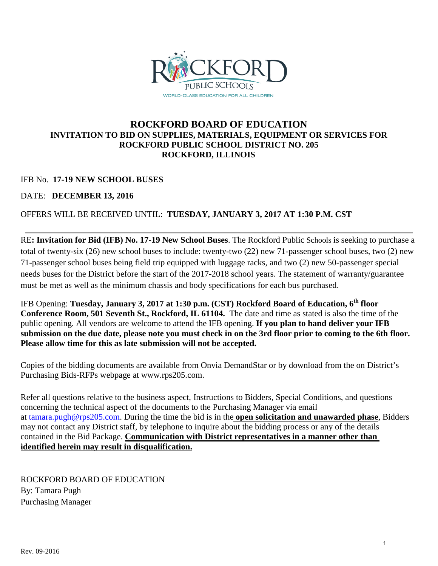

# **ROCKFORD BOARD OF EDUCATION INVITATION TO BID ON SUPPLIES, MATERIALS, EQUIPMENT OR SERVICES FOR ROCKFORD PUBLIC SCHOOL DISTRICT NO. 205 ROCKFORD, ILLINOIS**

# IFB No. **17-19 NEW SCHOOL BUSES**

DATE: **DECEMBER 13, 2016**

# OFFERS WILL BE RECEIVED UNTIL: **TUESDAY, JANUARY 3, 2017 AT 1:30 P.M. CST**

RE**: Invitation for Bid (IFB) No. 17-19 New School Buses**. The Rockford Public Schools is seeking to purchase a total of twenty-six (26) new school buses to include: twenty-two (22) new 71-passenger school buses, two (2) new 71-passenger school buses being field trip equipped with luggage racks, and two (2) new 50-passenger special needs buses for the District before the start of the 2017-2018 school years. The statement of warranty/guarantee must be met as well as the minimum chassis and body specifications for each bus purchased.

IFB Opening: Tuesday, January 3, 2017 at 1:30 p.m. (CST) Rockford Board of Education, 6<sup>th</sup> floor **Conference Room, 501 Seventh St., Rockford, IL 61104.** The date and time as stated is also the time of the public opening. All vendors are welcome to attend the IFB opening. **If you plan to hand deliver your IFB submission on the due date, please note you must check in on the 3rd floor prior to coming to the 6th floor. Please allow time for this as late submission will not be accepted.**

Copies of the bidding documents are available from Onvia DemandStar or by download from the on District's Purchasing Bids-RFPs webpage at www.rps205.com.

Refer all questions relative to the business aspect, Instructions to Bidders, Special Conditions, and questions concerning the technical aspect of the documents to the Purchasing Manager via email at [tamara.pugh@rps205.com.](mailto:tamara.pugh@rps205.com) During the time the bid is in the **open solicitation and unawarded phase**, Bidders may not contact any District staff, by telephone to inquire about the bidding process or any of the details contained in the Bid Package. **Communication with District representatives in a manner other than identified herein may result in disqualification.**

ROCKFORD BOARD OF EDUCATION By: Tamara Pugh Purchasing Manager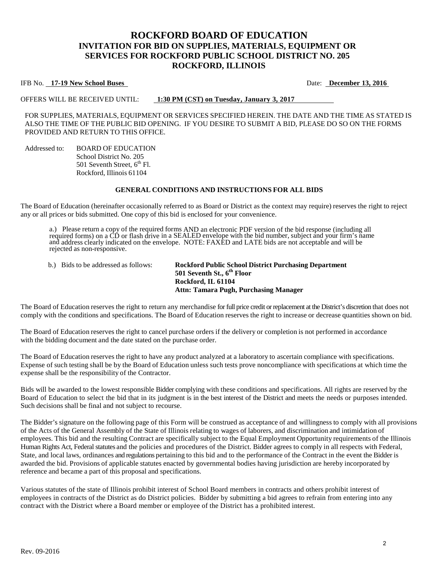# **ROCKFORD BOARD OF EDUCATION INVITATION FOR BID ON SUPPLIES, MATERIALS, EQUIPMENT OR SERVICES FOR ROCKFORD PUBLIC SCHOOL DISTRICT NO. 205 ROCKFORD, ILLINOIS**

#### IFB No. **17-19 New School Buses** Date: **December 13, 2016**

OFFERS WILL BE RECEIVED UNTIL: **1:30 PM (CST) on Tuesday, January 3, 2017**

FOR SUPPLIES, MATERIALS, EQUIPMENT OR SERVICES SPECIFIED HEREIN. THE DATE AND THE TIME AS STATED IS ALSO THE TIME OF THE PUBLIC BID OPENING. IF YOU DESIRE TO SUBMIT A BID, PLEASE DO SO ON THE FORMS PROVIDED AND RETURN TO THIS OFFICE.

Addressed to: BOARD OF EDUCATION School District No. 205 501 Seventh Street,  $6<sup>th</sup>$  Fl. Rockford, Illinois 61104

#### **GENERAL CONDITIONS AND INSTRUCTIONS FOR ALL BIDS**

The Board of Education (hereinafter occasionally referred to as Board or District as the context may require) reserves the right to reject any or all prices or bids submitted. One copy of this bid is enclosed for your convenience.

a.) Please return a copy of the required forms AND an electronic PDF version of the bid response (including all required forms) on a CD or flash drive in a SEALED envelope with the bid number, subject and your firm's name and address clearly indicated on the envelope. NOTE: FAXED and LATE bids are not acceptable and will be rejected as non-responsive.

b.) Bids to be addressed as follows: **Rockford Public School District Purchasing Department 501 Seventh St., 6th Floor Rockford, IL 61104 Attn: Tamara Pugh, Purchasing Manager**

The Board of Education reserves the right to return any merchandise for full price credit or replacement at the District's discretion that does not comply with the conditions and specifications. The Board of Education reserves the right to increase or decrease quantities shown on bid.

The Board of Education reserves the right to cancel purchase orders if the delivery or completion is not performed in accordance with the bidding document and the date stated on the purchase order.

The Board of Education reserves the right to have any product analyzed at a laboratory to ascertain compliance with specifications. Expense of such testing shall be by the Board of Education unless such tests prove noncompliance with specifications at which time the expense shall be the responsibility of the Contractor.

Bids will be awarded to the lowest responsible Bidder complying with these conditions and specifications. All rights are reserved by the Board of Education to select the bid that in its judgment is in the best interest of the District and meets the needs or purposes intended. Such decisions shall be final and not subject to recourse.

The Bidder's signature on the following page of this Form will be construed as acceptance of and willingness to comply with all provisions of the Acts of the General Assembly of the State of Illinois relating to wages of laborers, and discrimination and intimidation of employees. This bid and the resulting Contract are specifically subject to the Equal Employment Opportunity requirements of the Illinois Human Rights Act, Federal statutes and the policies and procedures of the District. Bidder agrees to comply in all respects with Federal, State, and local laws, ordinances and regulations pertaining to this bid and to the performance of the Contract in the event the Bidder is awarded the bid. Provisions of applicable statutes enacted by governmental bodies having jurisdiction are hereby incorporated by reference and became a part of this proposal and specifications.

Various statutes of the state of Illinois prohibit interest of School Board members in contracts and others prohibit interest of employees in contracts of the District as do District policies. Bidder by submitting a bid agrees to refrain from entering into any contract with the District where a Board member or employee of the District has a prohibited interest.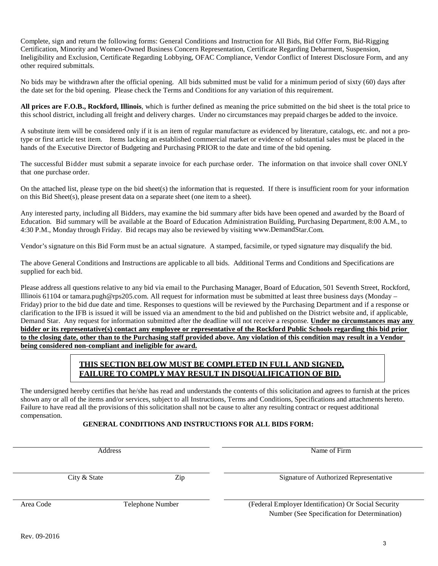Complete, sign and return the following forms: General Conditions and Instruction for All Bids, Bid Offer Form, Bid-Rigging Certification, Minority and Women-Owned Business Concern Representation, Certificate Regarding Debarment, Suspension, Ineligibility and Exclusion, Certificate Regarding Lobbying, OFAC Compliance, Vendor Conflict of Interest Disclosure Form, and any other required submittals.

No bids may be withdrawn after the official opening. All bids submitted must be valid for a minimum period of sixty (60) days after the date set for the bid opening. Please check the Terms and Conditions for any variation of this requirement.

**All prices are F.O.B., Rockford, Illinois**, which is further defined as meaning the price submitted on the bid sheet is the total price to this school district, including all freight and delivery charges. Under no circumstances may prepaid charges be added to the invoice.

A substitute item will be considered only if it is an item of regular manufacture as evidenced by literature, catalogs, etc. and not a protype or first article test item. Items lacking an established commercial market or evidence of substantial sales must be placed in the hands of the Executive Director of Budgeting and Purchasing PRIOR to the date and time of the bid opening.

The successful Bidder must submit a separate invoice for each purchase order. The information on that invoice shall cover ONLY that one purchase order.

On the attached list, please type on the bid sheet(s) the information that is requested. If there is insufficient room for your information on this Bid Sheet(s), please present data on a separate sheet (one item to a sheet).

Any interested party, including all Bidders, may examine the bid summary after bids have been opened and awarded by the Board of Education. Bid summary will be available at the Board of Education Administration Building, Purchasing Department, 8:00 A.M., to 4:30 P.M., Monday through Friday. Bid recaps may also be reviewed by visitin[g www.DemandStar.Com.](http://www.demandstar.com/)

Vendor's signature on this Bid Form must be an actual signature. A stamped, facsimile, or typed signature may disqualify the bid.

The above General Conditions and Instructions are applicable to all bids. Additional Terms and Conditions and Specifications are supplied for each bid.

Please address all questions relative to any bid via email to the Purchasing Manager, Board of Education, 501 Seventh Street, Rockford, Illinois 61104 or tamara.pugh@rps205.com. All request for information must be submitted at least three business days (Monday – Friday) prior to the bid due date and time. Responses to questions will be reviewed by the Purchasing Department and if a response or clarification to the IFB is issued it will be issued via an amendment to the bid and published on the District website and, if applicable, Demand Star. Any request for information submitted after the deadline will not receive a response. **Under no circumstances may any bidder or its representative(s) contact any employee or representative of the Rockford Public Schools regarding this bid prior to the closing date, other than to the Purchasing staff provided above. Any violation of this condition may result in a Vendor being considered non-compliant and ineligible for award.**

#### **THIS SECTION BELOW MUST BE COMPLETED IN FULL AND SIGNED, FAILURE TO COMPLY MAY RESULT IN DISQUALIFICATION OF BID.**

The undersigned hereby certifies that he/she has read and understands the contents of this solicitation and agrees to furnish at the prices shown any or all of the items and/or services, subject to all Instructions, Terms and Conditions, Specifications and attachments hereto. Failure to have read all the provisions of this solicitation shall not be cause to alter any resulting contract or request additional compensation.

#### **GENERAL CONDITIONS AND INSTRUCTIONS FOR ALL BIDS FORM:**

Address Name of Firm

City & State  $\qquad \qquad$  Zip Signature of Authorized Representative

Area Code Telephone Number (Federal Employer Identification) Or Social Security Number (See Specification for Determination)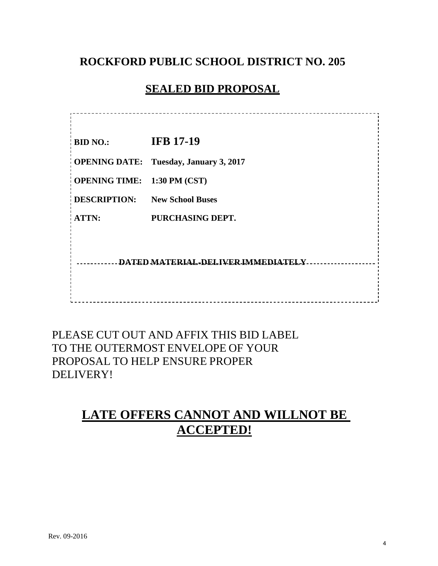# **ROCKFORD PUBLIC SCHOOL DISTRICT NO. 205**

# **SEALED BID PROPOSAL**

---------------------------------**BID NO.: IFB 17-19 OPENING DATE: Tuesday, January 3, 2017 OPENING TIME: 1:30 PM (CST) DESCRIPTION: New School Buses ATTN: PURCHASING DEPT. DATED MATERIAL-DELIVER IMMEDIATELY** -----------------------------

PLEASE CUT OUT AND AFFIX THIS BID LABEL TO THE OUTERMOST ENVELOPE OF YOUR PROPOSAL TO HELP ENSURE PROPER DELIVERY!

# **LATE OFFERS CANNOT AND WILLNOT BE ACCEPTED!**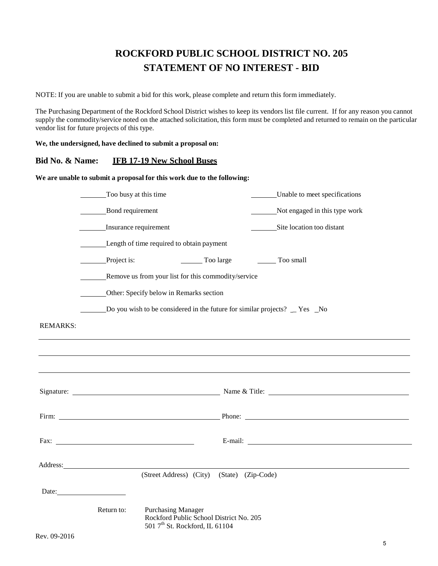# **ROCKFORD PUBLIC SCHOOL DISTRICT NO. 205 STATEMENT OF NO INTEREST - BID**

NOTE: If you are unable to submit a bid for this work, please complete and return this form immediately.

The Purchasing Department of the Rockford School District wishes to keep its vendors list file current. If for any reason you cannot supply the commodity/service noted on the attached solicitation, this form must be completed and returned to remain on the particular vendor list for future projects of this type.

**We, the undersigned, have declined to submit a proposal on:**

#### **Bid No. & Name: IFB 17-19 New School Buses**

**We are unable to submit a proposal for this work due to the following:**

|                 | Too busy at this time                                                                                                                                                                                                                                                                                                  |                    | Unable to meet specifications                                                    |
|-----------------|------------------------------------------------------------------------------------------------------------------------------------------------------------------------------------------------------------------------------------------------------------------------------------------------------------------------|--------------------|----------------------------------------------------------------------------------|
|                 | Bond requirement                                                                                                                                                                                                                                                                                                       |                    | Not engaged in this type work                                                    |
|                 | Insurance requirement                                                                                                                                                                                                                                                                                                  |                    | Site location too distant                                                        |
|                 | Length of time required to obtain payment                                                                                                                                                                                                                                                                              |                    |                                                                                  |
|                 | Project is:                                                                                                                                                                                                                                                                                                            | Too large          | Too small                                                                        |
|                 | Remove us from your list for this commodity/service                                                                                                                                                                                                                                                                    |                    |                                                                                  |
|                 | Other: Specify below in Remarks section                                                                                                                                                                                                                                                                                |                    |                                                                                  |
|                 | Do you wish to be considered in the future for similar projects? _ Yes _No                                                                                                                                                                                                                                             |                    |                                                                                  |
| <b>REMARKS:</b> |                                                                                                                                                                                                                                                                                                                        |                    |                                                                                  |
|                 |                                                                                                                                                                                                                                                                                                                        |                    | ,我们也不会有什么。""我们的人,我们也不会有什么?""我们的人,我们也不会有什么?""我们的人,我们也不会有什么?""我们的人,我们也不会有什么?""我们的人 |
|                 |                                                                                                                                                                                                                                                                                                                        |                    |                                                                                  |
|                 |                                                                                                                                                                                                                                                                                                                        |                    |                                                                                  |
|                 |                                                                                                                                                                                                                                                                                                                        |                    |                                                                                  |
|                 | Fax: $\frac{1}{2}$ $\frac{1}{2}$ $\frac{1}{2}$ $\frac{1}{2}$ $\frac{1}{2}$ $\frac{1}{2}$ $\frac{1}{2}$ $\frac{1}{2}$ $\frac{1}{2}$ $\frac{1}{2}$ $\frac{1}{2}$ $\frac{1}{2}$ $\frac{1}{2}$ $\frac{1}{2}$ $\frac{1}{2}$ $\frac{1}{2}$ $\frac{1}{2}$ $\frac{1}{2}$ $\frac{1}{2}$ $\frac{1}{2}$ $\frac{1}{2}$ $\frac{1}{$ |                    | E-mail:                                                                          |
|                 |                                                                                                                                                                                                                                                                                                                        |                    |                                                                                  |
|                 | (Street Address) (City)                                                                                                                                                                                                                                                                                                | (State) (Zip-Code) |                                                                                  |
|                 | Date: <u>Date:</u>                                                                                                                                                                                                                                                                                                     |                    |                                                                                  |
|                 | <b>Purchasing Manager</b><br>Return to:<br>Rockford Public School District No. 205<br>501 7 <sup>th</sup> St. Rockford, IL 61104                                                                                                                                                                                       |                    |                                                                                  |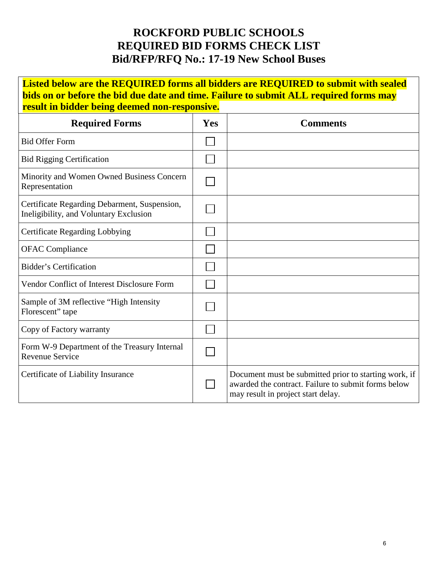# **ROCKFORD PUBLIC SCHOOLS REQUIRED BID FORMS CHECK LIST Bid/RFP/RFQ No.: 17-19 New School Buses**

**Listed below are the REQUIRED forms all bidders are REQUIRED to submit with sealed bids on or before the bid due date and time. Failure to submit ALL required forms may result in bidder being deemed non-responsive.**

| <b>Required Forms</b>                                                                  | Yes | <b>Comments</b>                                                                                                                                    |
|----------------------------------------------------------------------------------------|-----|----------------------------------------------------------------------------------------------------------------------------------------------------|
| <b>Bid Offer Form</b>                                                                  |     |                                                                                                                                                    |
| <b>Bid Rigging Certification</b>                                                       |     |                                                                                                                                                    |
| Minority and Women Owned Business Concern<br>Representation                            |     |                                                                                                                                                    |
| Certificate Regarding Debarment, Suspension,<br>Ineligibility, and Voluntary Exclusion |     |                                                                                                                                                    |
| <b>Certificate Regarding Lobbying</b>                                                  |     |                                                                                                                                                    |
| <b>OFAC</b> Compliance                                                                 |     |                                                                                                                                                    |
| <b>Bidder's Certification</b>                                                          |     |                                                                                                                                                    |
| Vendor Conflict of Interest Disclosure Form                                            |     |                                                                                                                                                    |
| Sample of 3M reflective "High Intensity"<br>Florescent" tape                           |     |                                                                                                                                                    |
| Copy of Factory warranty                                                               |     |                                                                                                                                                    |
| Form W-9 Department of the Treasury Internal<br><b>Revenue Service</b>                 |     |                                                                                                                                                    |
| Certificate of Liability Insurance                                                     |     | Document must be submitted prior to starting work, if<br>awarded the contract. Failure to submit forms below<br>may result in project start delay. |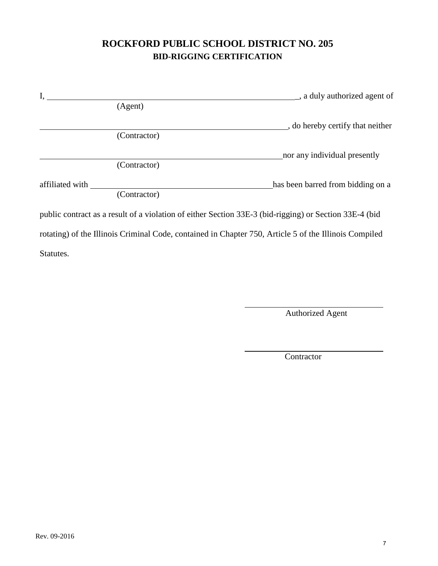# **ROCKFORD PUBLIC SCHOOL DISTRICT NO. 205 BID-RIGGING CERTIFICATION**

| I.              |              | s a duly authorized agent of                                                                           |
|-----------------|--------------|--------------------------------------------------------------------------------------------------------|
|                 | (Agent)      |                                                                                                        |
|                 | (Contractor) | or do hereby certify that neither                                                                      |
|                 |              | nor any individual presently                                                                           |
|                 | (Contractor) |                                                                                                        |
| affiliated with | (Contractor) | has been barred from bidding on a                                                                      |
|                 |              | public contract as a result of a violation of either Section 33E-3 (bid-rigging) or Section 33E-4 (bid |
|                 |              | rotating) of the Illinois Criminal Code, contained in Chapter 750, Article 5 of the Illinois Compiled  |
| Statutes.       |              |                                                                                                        |

Authorized Agent

**Contractor**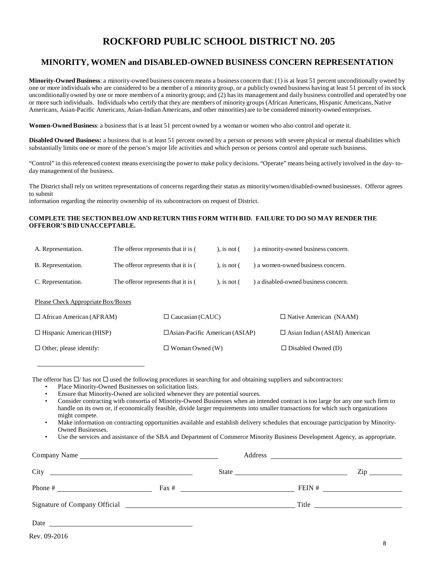# **ROCKFORD PUBLIC SCHOOL DISTRICT NO. 205**

#### **MINORITY, WOMEN and DISABLED-OWNED BUSINESS CONCERN REPRESENTATION**

**Minority-Owned Business**: a minority-owned business concern means a business concern that: (1) is at least 51 percent unconditionally owned by one or more individuals who are considered to be a member of a minority group, or a publicly owned business having at least 51 percent of its stock unconditionally owned by one or more members of a minority group; and (2) has its management and daily business controlled and operated by one or more such individuals. Individuals who certify that they are members of minority groups (African Americans, Hispanic Americans, Native Americans, Asian-Pacific Americans, Asian-Indian Americans, and other minorities) are to be considered minority-owned enterprises.

**Women-Owned Business**: a business that is at least 51 percent owned by a woman or women who also control and operate it.

**Disabled Owned Business:** a business that is at least 51 percent owned by a person or persons with severe physical or mental disabilities which substantially limits one or more of the person's major life activities and which person or persons control and operate such business.

"Control" in this referenced context means exercising the power to make policy decisions. "Operate" means being actively involved in the day- today management of the business.

The District shall rely on written representations of concerns regarding their status as minority/women/disabled-owned businesses. Offeror agrees to submit

information regarding the minority ownership of its subcontractors on request of District.

#### **COMPLETE THE SECTION BELOW AND RETURN THIS FORM WITH BID. FAILURE TO DO SO MAY RENDER THE OFFEROR'S BID UNACCEPTABLE.**

| The offeror represents that it is (<br>A. Representation. |                      |                                       | ), is not $($ |                           | ) a minority-owned business concern. |  |
|-----------------------------------------------------------|----------------------|---------------------------------------|---------------|---------------------------|--------------------------------------|--|
| The offeror represents that it is (<br>B. Representation. |                      |                                       | ), is not $($ |                           | ) a women-owned business concern.    |  |
| C. Representation.<br>The offeror represents that it is ( |                      |                                       | ), is not $($ |                           | ) a disabled-owned business concern. |  |
| Please Check Appropriate Box/Boxes                        |                      |                                       |               |                           |                                      |  |
| $\Box$ African American (AFRAM)                           |                      | $\Box$ Caucasian (CAUC)               |               |                           | $\Box$ Native American (NAAM)        |  |
| $\Box$ Hispanic American (HISP)                           |                      | $\Box$ Asian-Pacific American (ASIAP) |               |                           | $\Box$ Asian Indian (ASIAI) American |  |
| $\Box$ Other, please identify:                            | Woman Owned (W)<br>ப |                                       |               | $\Box$ Disabled Owned (D) |                                      |  |

The offeror has  $\Box$  has not  $\Box$  used the following procedures in searching for and obtaining suppliers and subcontractors:

- Place Minority-Owned Businesses on solicitation lists.
- Ensure that Minority-Owned are solicited whenever they are potential sources.

• Consider contracting with consortia of Minority-Owned Businesses when an intended contract is too large for any one such firm to handle on its own or, if economically feasible, divide larger requirements into smaller transactions for which such organizations might compete.

• Make information on contracting opportunities available and establish delivery schedules that encourage participation by Minority-Owned Businesses.

• Use the services and assistance of the SBA and Department of Commerce Minority Business Development Agency, as appropriate.

| Company Name                                              |       |                |                     |
|-----------------------------------------------------------|-------|----------------|---------------------|
|                                                           | State |                | $\mathsf{Zip} \_\_$ |
|                                                           |       | FEIN $#$       |                     |
|                                                           |       | Title $\qquad$ |                     |
| Date<br><u> 1989 - Andrea Brand, amerikansk politik (</u> |       |                |                     |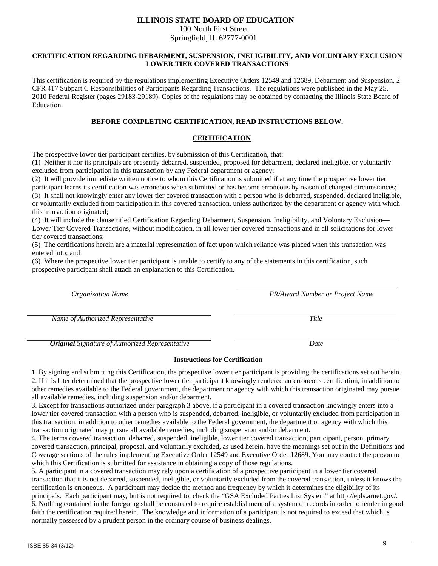#### **ILLINOIS STATE BOARD OF EDUCATION**

100 North First Street Springfield, IL 62777-0001

#### **CERTIFICATION REGARDING DEBARMENT, SUSPENSION, INELIGIBILITY, AND VOLUNTARY EXCLUSION LOWER TIER COVERED TRANSACTIONS**

This certification is required by the regulations implementing Executive Orders 12549 and 12689, Debarment and Suspension, 2 CFR 417 Subpart C Responsibilities of Participants Regarding Transactions. The regulations were published in the May 25, 2010 Federal Register (pages 29183-29189). Copies of the regulations may be obtained by contacting the Illinois State Board of Education.

#### **BEFORE COMPLETING CERTIFICATION, READ INSTRUCTIONS BELOW.**

#### **CERTIFICATION**

The prospective lower tier participant certifies, by submission of this Certification, that:

(1) Neither it nor its principals are presently debarred, suspended, proposed for debarment, declared ineligible, or voluntarily excluded from participation in this transaction by any Federal department or agency;

(2) It will provide immediate written notice to whom this Certification is submitted if at any time the prospective lower tier

participant learns its certification was erroneous when submitted or has become erroneous by reason of changed circumstances;

(3) It shall not knowingly enter any lower tier covered transaction with a person who is debarred, suspended, declared ineligible, or voluntarily excluded from participation in this covered transaction, unless authorized by the department or agency with which this transaction originated;

(4) It will include the clause titled Certification Regarding Debarment, Suspension, Ineligibility, and Voluntary Exclusion— Lower Tier Covered Transactions, without modification, in all lower tier covered transactions and in all solicitations for lower tier covered transactions;

(5) The certifications herein are a material representation of fact upon which reliance was placed when this transaction was entered into; and

(6) Where the prospective lower tier participant is unable to certify to any of the statements in this certification, such prospective participant shall attach an explanation to this Certification.

| <b>Organization Name</b>                               | <b>PR/Award Number or Project Name</b> |
|--------------------------------------------------------|----------------------------------------|
| Name of Authorized Representative                      | Title                                  |
| <b>Original</b> Signature of Authorized Representative | Date                                   |

#### **Instructions for Certification**

1. By signing and submitting this Certification, the prospective lower tier participant is providing the certifications set out herein. 2. If it is later determined that the prospective lower tier participant knowingly rendered an erroneous certification, in addition to other remedies available to the Federal government, the department or agency with which this transaction originated may pursue all available remedies, including suspension and/or debarment.

3. Except for transactions authorized under paragraph 3 above, if a participant in a covered transaction knowingly enters into a lower tier covered transaction with a person who is suspended, debarred, ineligible, or voluntarily excluded from participation in this transaction, in addition to other remedies available to the Federal government, the department or agency with which this transaction originated may pursue all available remedies, including suspension and/or debarment.

4. The terms covered transaction, debarred, suspended, ineligible, lower tier covered transaction, participant, person, primary covered transaction, principal, proposal, and voluntarily excluded, as used herein, have the meanings set out in the Definitions and Coverage sections of the rules implementing Executive Order 12549 and Executive Order 12689. You may contact the person to which this Certification is submitted for assistance in obtaining a copy of those regulations.

5. A participant in a covered transaction may rely upon a certification of a prospective participant in a lower tier covered transaction that it is not debarred, suspended, ineligible, or voluntarily excluded from the covered transaction, unless it knows the certification is erroneous. A participant may decide the method and frequency by which it determines the eligibility of its principals. Each participant may, but is not required to, check the "GSA Excluded Parties List System" at http://epls.arnet.gov/. 6. Nothing contained in the foregoing shall be construed to require establishment of a system of records in order to render in good faith the certification required herein. The knowledge and information of a participant is not required to exceed that which is normally possessed by a prudent person in the ordinary course of business dealings.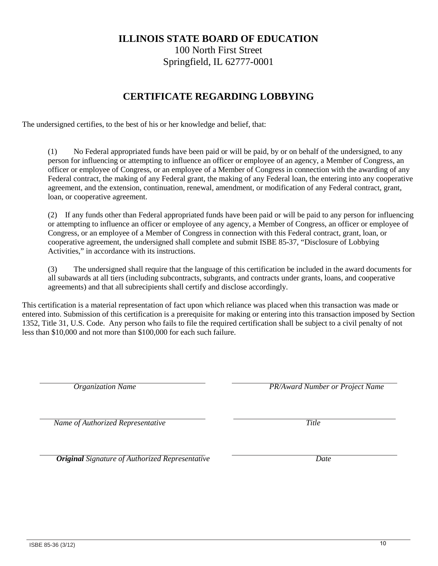ISBE 85-36 (3/12)

# **ILLINOIS STATE BOARD OF EDUCATION**

100 North First Street Springfield, IL 62777-0001

# **CERTIFICATE REGARDING LOBBYING**

The undersigned certifies, to the best of his or her knowledge and belief, that:

(1) No Federal appropriated funds have been paid or will be paid, by or on behalf of the undersigned, to any person for influencing or attempting to influence an officer or employee of an agency, a Member of Congress, an officer or employee of Congress, or an employee of a Member of Congress in connection with the awarding of any Federal contract, the making of any Federal grant, the making of any Federal loan, the entering into any cooperative agreement, and the extension, continuation, renewal, amendment, or modification of any Federal contract, grant, loan, or cooperative agreement.

(2) If any funds other than Federal appropriated funds have been paid or will be paid to any person for influencing or attempting to influence an officer or employee of any agency, a Member of Congress, an officer or employee of Congress, or an employee of a Member of Congress in connection with this Federal contract, grant, loan, or cooperative agreement, the undersigned shall complete and submit ISBE 85-37, "Disclosure of Lobbying Activities," in accordance with its instructions.

(3) The undersigned shall require that the language of this certification be included in the award documents for all subawards at all tiers (including subcontracts, subgrants, and contracts under grants, loans, and cooperative agreements) and that all subrecipients shall certify and disclose accordingly.

This certification is a material representation of fact upon which reliance was placed when this transaction was made or entered into. Submission of this certification is a prerequisite for making or entering into this transaction imposed by Section 1352, Title 31, U.S. Code. Any person who fails to file the required certification shall be subject to a civil penalty of not less than \$10,000 and not more than \$100,000 for each such failure.

*Organization Name PR/Award Number or Project Name* 

*Name of Authorized Representative* Title

 *Original Signature of Authorized Representative Date*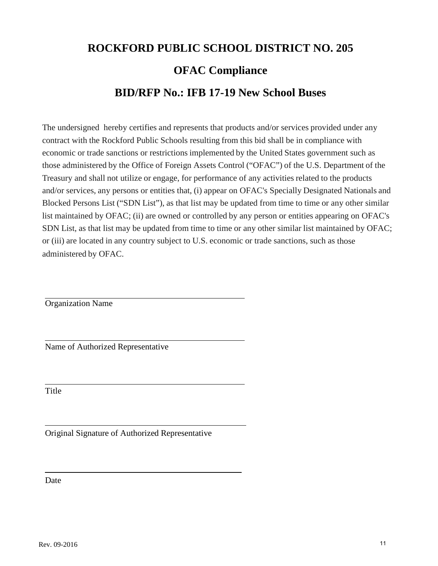# **ROCKFORD PUBLIC SCHOOL DISTRICT NO. 205 OFAC Compliance BID/RFP No.: IFB 17-19 New School Buses**

The undersigned hereby certifies and represents that products and/or services provided under any contract with the Rockford Public Schools resulting from this bid shall be in compliance with economic or trade sanctions or restrictions implemented by the United States government such as those administered by the Office of Foreign Assets Control ("OFAC") of the U.S. Department of the Treasury and shall not utilize or engage, for performance of any activities related to the products and/or services, any persons or entities that, (i) appear on OFAC's Specially Designated Nationals and Blocked Persons List ("SDN List"), as that list may be updated from time to time or any other similar list maintained by OFAC; (ii) are owned or controlled by any person or entities appearing on OFAC's SDN List, as that list may be updated from time to time or any other similar list maintained by OFAC; or (iii) are located in any country subject to U.S. economic or trade sanctions, such as those administered by OFAC.

 $\overline{a}$ 

 $\overline{a}$ 

 $\overline{a}$ Organization Name

Name of Authorized Representative

**Title** 

 $\overline{a}$ 

l

Original Signature of Authorized Representative

Date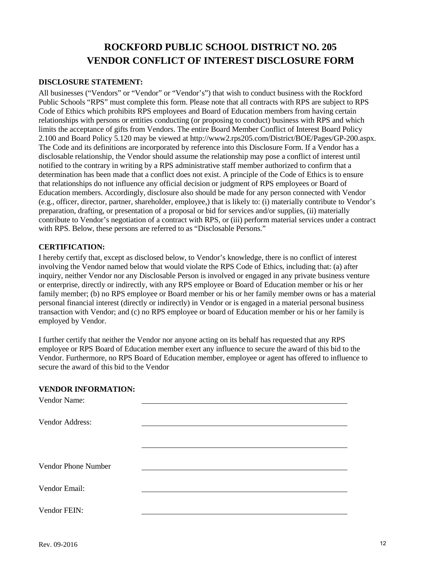# **ROCKFORD PUBLIC SCHOOL DISTRICT NO. 205 VENDOR CONFLICT OF INTEREST DISCLOSURE FORM**

#### **DISCLOSURE STATEMENT:**

All businesses ("Vendors" or "Vendor" or "Vendor" s") that wish to conduct business with the Rockford Public Schools "RPS" must complete this form. Please note that all contracts with RPS are subject to RPS Code of Ethics which prohibits RPS employees and Board of Education members from having certain relationships with persons or entities conducting (or proposing to conduct) business with RPS and which limits the acceptance of gifts from Vendors. The entire Board Member Conflict of Interest Board Policy 2.100 and Board Policy 5.120 may be viewed at http://www2.rps205.com/District/BOE/Pages/GP-200.aspx. The Code and its definitions are incorporated by reference into this Disclosure Form. If a Vendor has a disclosable relationship, the Vendor should assume the relationship may pose a conflict of interest until notified to the contrary in writing by a RPS administrative staff member authorized to confirm that a determination has been made that a conflict does not exist. A principle of the Code of Ethics is to ensure that relationships do not influence any official decision or judgment of RPS employees or Board of Education members. Accordingly, disclosure also should be made for any person connected with Vendor (e.g., officer, director, partner, shareholder, employee,) that is likely to: (i) materially contribute to Vendor's preparation, drafting, or presentation of a proposal or bid for services and/or supplies, (ii) materially contribute to Vendor's negotiation of a contract with RPS, or (iii) perform material services under a contract with RPS. Below, these persons are referred to as "Disclosable Persons."

#### **CERTIFICATION:**

I hereby certify that, except as disclosed below, to Vendor's knowledge, there is no conflict of interest involving the Vendor named below that would violate the RPS Code of Ethics, including that: (a) after inquiry, neither Vendor nor any Disclosable Person is involved or engaged in any private business venture or enterprise, directly or indirectly, with any RPS employee or Board of Education member or his or her family member; (b) no RPS employee or Board member or his or her family member owns or has a material personal financial interest (directly or indirectly) in Vendor or is engaged in a material personal business transaction with Vendor; and (c) no RPS employee or board of Education member or his or her family is employed by Vendor.

I further certify that neither the Vendor nor anyone acting on its behalf has requested that any RPS employee or RPS Board of Education member exert any influence to secure the award of this bid to the Vendor. Furthermore, no RPS Board of Education member, employee or agent has offered to influence to secure the award of this bid to the Vendor

#### **VENDOR INFORMATION:**

| Vendor Name:        |  |
|---------------------|--|
|                     |  |
| Vendor Address:     |  |
|                     |  |
|                     |  |
|                     |  |
| Vendor Phone Number |  |
|                     |  |
| Vendor Email:       |  |
|                     |  |
| Vendor FEIN:        |  |
|                     |  |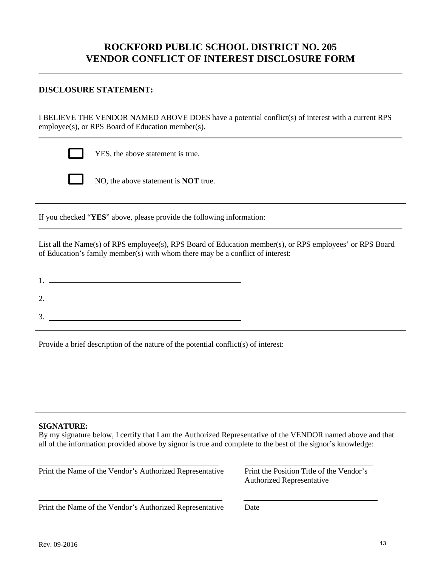# **ROCKFORD PUBLIC SCHOOL DISTRICT NO. 205 VENDOR CONFLICT OF INTEREST DISCLOSURE FORM**

## **DISCLOSURE STATEMENT:**

| I BELIEVE THE VENDOR NAMED ABOVE DOES have a potential conflict(s) of interest with a current RPS<br>employee(s), or RPS Board of Education member(s).                                                                                                                                                                 |  |  |  |  |
|------------------------------------------------------------------------------------------------------------------------------------------------------------------------------------------------------------------------------------------------------------------------------------------------------------------------|--|--|--|--|
| YES, the above statement is true.                                                                                                                                                                                                                                                                                      |  |  |  |  |
| NO, the above statement is <b>NOT</b> true.                                                                                                                                                                                                                                                                            |  |  |  |  |
| If you checked "YES" above, please provide the following information:                                                                                                                                                                                                                                                  |  |  |  |  |
| List all the Name(s) of RPS employee(s), RPS Board of Education member(s), or RPS employees' or RPS Board<br>of Education's family member(s) with whom there may be a conflict of interest:                                                                                                                            |  |  |  |  |
| $1.$ $\frac{1}{2}$ $\frac{1}{2}$ $\frac{1}{2}$ $\frac{1}{2}$ $\frac{1}{2}$ $\frac{1}{2}$ $\frac{1}{2}$ $\frac{1}{2}$ $\frac{1}{2}$ $\frac{1}{2}$ $\frac{1}{2}$ $\frac{1}{2}$ $\frac{1}{2}$ $\frac{1}{2}$ $\frac{1}{2}$ $\frac{1}{2}$ $\frac{1}{2}$ $\frac{1}{2}$ $\frac{1}{2}$ $\frac{1}{2}$ $\frac{1}{2}$ $\frac{1}{$ |  |  |  |  |
| 2. $\overline{\phantom{a}}$                                                                                                                                                                                                                                                                                            |  |  |  |  |
|                                                                                                                                                                                                                                                                                                                        |  |  |  |  |
| Provide a brief description of the nature of the potential conflict(s) of interest:                                                                                                                                                                                                                                    |  |  |  |  |
|                                                                                                                                                                                                                                                                                                                        |  |  |  |  |
|                                                                                                                                                                                                                                                                                                                        |  |  |  |  |
| CICNATIIDF.                                                                                                                                                                                                                                                                                                            |  |  |  |  |

#### **SIGNATURE:**

By my signature below, I certify that I am the Authorized Representative of the VENDOR named above and that all of the information provided above by signor is true and complete to the best of the signor's knowledge:

Print the Name of the Vendor's Authorized Representative Print the Position Title of the Vendor's

Authorized Representative

Print the Name of the Vendor's Authorized Representative Date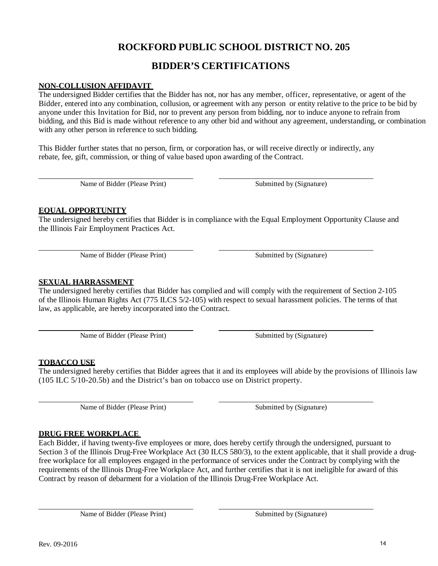# **ROCKFORD PUBLIC SCHOOL DISTRICT NO. 205**

# **BIDDER'S CERTIFICATIONS**

#### **NON-COLLUSION AFFIDAVIT**

The undersigned Bidder certifies that the Bidder has not, nor has any member, officer, representative, or agent of the Bidder, entered into any combination, collusion, or agreement with any person or entity relative to the price to be bid by anyone under this Invitation for Bid, nor to prevent any person from bidding, nor to induce anyone to refrain from bidding, and this Bid is made without reference to any other bid and without any agreement, understanding, or combination with any other person in reference to such bidding.

This Bidder further states that no person, firm, or corporation has, or will receive directly or indirectly, any rebate, fee, gift, commission, or thing of value based upon awarding of the Contract.

Name of Bidder (Please Print) Submitted by (Signature)

#### **EQUAL OPPORTUNITY**

The undersigned hereby certifies that Bidder is in compliance with the Equal Employment Opportunity Clause and the Illinois Fair Employment Practices Act.

Name of Bidder (Please Print) Submitted by (Signature)

## **SEXUAL HARRASSMENT**

The undersigned hereby certifies that Bidder has complied and will comply with the requirement of Section 2-105 of the Illinois Human Rights Act (775 ILCS 5/2-105) with respect to sexual harassment policies. The terms of that law, as applicable, are hereby incorporated into the Contract.

Name of Bidder (Please Print) Submitted by (Signature)

### **TOBACCO USE**

The undersigned hereby certifies that Bidder agrees that it and its employees will abide by the provisions of Illinois law (105 ILC 5/10-20.5b) and the District's ban on tobacco use on District property.

Name of Bidder (Please Print) Submitted by (Signature)

### **DRUG FREE WORKPLACE**

Each Bidder, if having twenty-five employees or more, does hereby certify through the undersigned, pursuant to Section 3 of the Illinois Drug-Free Workplace Act (30 ILCS 580/3), to the extent applicable, that it shall provide a drugfree workplace for all employees engaged in the performance of services under the Contract by complying with the requirements of the Illinois Drug-Free Workplace Act, and further certifies that it is not ineligible for award of this Contract by reason of debarment for a violation of the Illinois Drug-Free Workplace Act.

Name of Bidder (Please Print) Submitted by (Signature)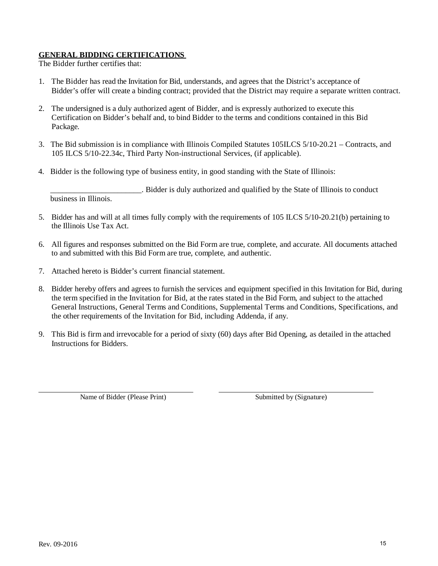#### **GENERAL BIDDING CERTIFICATIONS**

The Bidder further certifies that:

- 1. The Bidder has read the Invitation for Bid, understands, and agrees that the District's acceptance of Bidder's offer will create a binding contract; provided that the District may require a separate written contract.
- 2. The undersigned is a duly authorized agent of Bidder, and is expressly authorized to execute this Certification on Bidder's behalf and, to bind Bidder to the terms and conditions contained in this Bid Package.
- 3. The Bid submission is in compliance with Illinois Compiled Statutes 105ILCS 5/10-20.21 Contracts, and 105 ILCS 5/10-22.34c, Third Party Non-instructional Services, (if applicable).
- 4. Bidder is the following type of business entity, in good standing with the State of Illinois:

 \_\_\_\_\_\_\_\_\_\_\_\_\_\_\_\_\_\_\_\_\_\_\_. Bidder is duly authorized and qualified by the State of Illinois to conduct business in Illinois.

- 5. Bidder has and will at all times fully comply with the requirements of 105 ILCS 5/10-20.21(b) pertaining to the Illinois Use Tax Act.
- 6. All figures and responses submitted on the Bid Form are true, complete, and accurate. All documents attached to and submitted with this Bid Form are true, complete, and authentic.
- 7. Attached hereto is Bidder's current financial statement.
- 8. Bidder hereby offers and agrees to furnish the services and equipment specified in this Invitation for Bid, during the term specified in the Invitation for Bid, at the rates stated in the Bid Form, and subject to the attached General Instructions, General Terms and Conditions, Supplemental Terms and Conditions, Specifications, and the other requirements of the Invitation for Bid, including Addenda, if any.
- 9. This Bid is firm and irrevocable for a period of sixty (60) days after Bid Opening, as detailed in the attached Instructions for Bidders.

Name of Bidder (Please Print) Submitted by (Signature)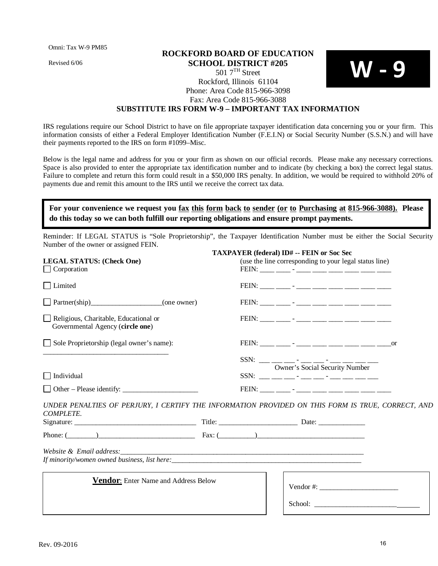Omni: Tax W-9 PM85

Revised 6/06

## **ROCKFORD BOARD OF EDUCATION SCHOOL DISTRICT #205**  $5017^{\text{TH}}$  Street Rockford, Illinois 61104 Phone: Area Code 815-966-3098 Fax: Area Code 815-966-3088

### **SUBSTITUTE IRS FORM W-9 – IMPORTANT TAX INFORMATION**

IRS regulations require our School District to have on file appropriate taxpayer identification data concerning you or your firm. This information consists of either a Federal Employer Identification Number (F.E.I.N) or Social Security Number (S.S.N.) and will have their payments reported to the IRS on form #1099–Misc.

Below is the legal name and address for you or your firm as shown on our official records. Please make any necessary corrections. Space is also provided to enter the appropriate tax identification number and to indicate (by checking a box) the correct legal status. Failure to complete and return this form could result in a \$50,000 IRS penalty. In addition, we would be required to withhold 20% of payments due and remit this amount to the IRS until we receive the correct tax data.

## **For your convenience we request you fax this form back to sender (or to Purchasing at 815-966-3088). Please do this today so we can both fulfill our reporting obligations and ensure prompt payments.**

Reminder: If LEGAL STATUS is "Sole Proprietorship", the Taxpayer Identification Number must be either the Social Security Number of the owner or assigned FEIN.

|                                                                           | <b>TAXPAYER (federal) ID# -- FEIN or Soc Sec</b>                                                  |  |
|---------------------------------------------------------------------------|---------------------------------------------------------------------------------------------------|--|
| <b>LEGAL STATUS: (Check One)</b><br>$\Box$ Corporation                    | (use the line corresponding to your legal status line)                                            |  |
| $\Box$ Limited                                                            |                                                                                                   |  |
| Partner(ship) (one owner)                                                 |                                                                                                   |  |
| Religious, Charitable, Educational or<br>Governmental Agency (circle one) |                                                                                                   |  |
| Sole Proprietorship (legal owner's name):                                 |                                                                                                   |  |
|                                                                           | Owner's Social Security Number                                                                    |  |
| $\Box$ Individual                                                         |                                                                                                   |  |
| Other – Please identify:                                                  |                                                                                                   |  |
| COMPLETE.                                                                 | UNDER PENALTIES OF PERJURY, I CERTIFY THE INFORMATION PROVIDED ON THIS FORM IS TRUE, CORRECT, AND |  |
|                                                                           |                                                                                                   |  |
|                                                                           | Phone: $(\_\_)$                                                                                   |  |
|                                                                           | If minority/women owned business, list here:                                                      |  |
| <b>Vendor:</b> Enter Name and Address Below                               | Vendor #:                                                                                         |  |
|                                                                           |                                                                                                   |  |

**W - 9**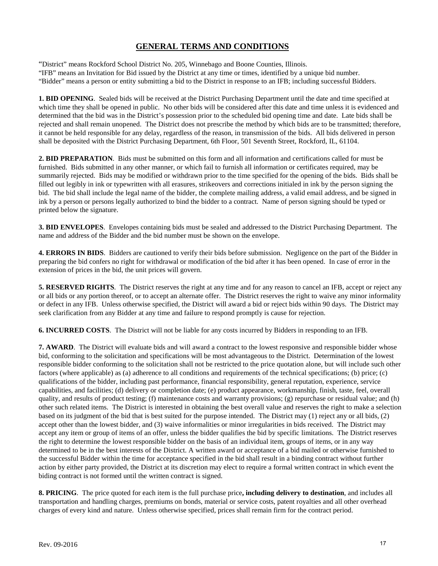"District" means Rockford School District No. 205, Winnebago and Boone Counties, Illinois.

"IFB" means an Invitation for Bid issued by the District at any time or times, identified by a unique bid number.

"Bidder" means a person or entity submitting a bid to the District in response to an IFB; including successful Bidders.

**1. BID OPENING**. Sealed bids will be received at the District Purchasing Department until the date and time specified at which time they shall be opened in public. No other bids will be considered after this date and time unless it is evidenced and determined that the bid was in the District's possession prior to the scheduled bid opening time and date. Late bids shall be rejected and shall remain unopened. The District does not prescribe the method by which bids are to be transmitted; therefore, it cannot be held responsible for any delay, regardless of the reason, in transmission of the bids. All bids delivered in person shall be deposited with the District Purchasing Department, 6th Floor, 501 Seventh Street, Rockford, IL, 61104.

**2. BID PREPARATION**. Bids must be submitted on this form and all information and certifications called for must be furnished. Bids submitted in any other manner, or which fail to furnish all information or certificates required, may be summarily rejected. Bids may be modified or withdrawn prior to the time specified for the opening of the bids. Bids shall be filled out legibly in ink or typewritten with all erasures, strikeovers and corrections initialed in ink by the person signing the bid. The bid shall include the legal name of the bidder, the complete mailing address, a valid email address, and be signed in ink by a person or persons legally authorized to bind the bidder to a contract. Name of person signing should be typed or printed below the signature.

**3. BID ENVELOPES**. Envelopes containing bids must be sealed and addressed to the District Purchasing Department. The name and address of the Bidder and the bid number must be shown on the envelope.

**4. ERRORS IN BIDS**. Bidders are cautioned to verify their bids before submission. Negligence on the part of the Bidder in preparing the bid confers no right for withdrawal or modification of the bid after it has been opened. In case of error in the extension of prices in the bid, the unit prices will govern.

**5. RESERVED RIGHTS**. The District reserves the right at any time and for any reason to cancel an IFB, accept or reject any or all bids or any portion thereof, or to accept an alternate offer. The District reserves the right to waive any minor informality or defect in any IFB. Unless otherwise specified, the District will award a bid or reject bids within 90 days. The District may seek clarification from any Bidder at any time and failure to respond promptly is cause for rejection.

**6. INCURRED COSTS**. The District will not be liable for any costs incurred by Bidders in responding to an IFB.

**7. AWARD**. The District will evaluate bids and will award a contract to the lowest responsive and responsible bidder whose bid, conforming to the solicitation and specifications will be most advantageous to the District. Determination of the lowest responsible bidder conforming to the solicitation shall not be restricted to the price quotation alone, but will include such other factors (where applicable) as (a) adherence to all conditions and requirements of the technical specifications; (b) price; (c) qualifications of the bidder, including past performance, financial responsibility, general reputation, experience, service capabilities, and facilities; (d) delivery or completion date; (e) product appearance, workmanship, finish, taste, feel, overall quality, and results of product testing; (f) maintenance costs and warranty provisions; (g) repurchase or residual value; and (h) other such related items. The District is interested in obtaining the best overall value and reserves the right to make a selection based on its judgment of the bid that is best suited for the purpose intended. The District may (1) reject any or all bids, (2) accept other than the lowest bidder, and (3) waive informalities or minor irregularities in bids received. The District may accept any item or group of items of an offer, unless the bidder qualifies the bid by specific limitations. The District reserves the right to determine the lowest responsible bidder on the basis of an individual item, groups of items, or in any way determined to be in the best interests of the District. A written award or acceptance of a bid mailed or otherwise furnished to the successful Bidder within the time for acceptance specified in the bid shall result in a binding contract without further action by either party provided, the District at its discretion may elect to require a formal written contract in which event the biding contract is not formed until the written contract is signed.

**8. PRICING**. The price quoted for each item is the full purchase price**, including delivery to destination**, and includes all transportation and handling charges, premiums on bonds, material or service costs, patent royalties and all other overhead charges of every kind and nature. Unless otherwise specified, prices shall remain firm for the contract period.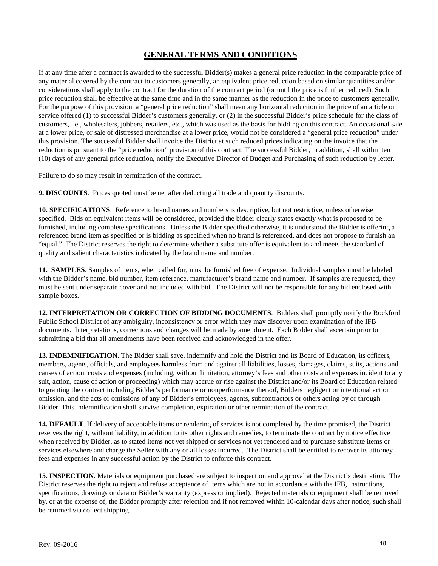If at any time after a contract is awarded to the successful Bidder(s) makes a general price reduction in the comparable price of any material covered by the contract to customers generally, an equivalent price reduction based on similar quantities and/or considerations shall apply to the contract for the duration of the contract period (or until the price is further reduced). Such price reduction shall be effective at the same time and in the same manner as the reduction in the price to customers generally. For the purpose of this provision, a "general price reduction" shall mean any horizontal reduction in the price of an article or service offered (1) to successful Bidder's customers generally, or (2) in the successful Bidder's price schedule for the class of customers, i.e., wholesalers, jobbers, retailers, etc., which was used as the basis for bidding on this contract. An occasional sale at a lower price, or sale of distressed merchandise at a lower price, would not be considered a "general price reduction" under this provision. The successful Bidder shall invoice the District at such reduced prices indicating on the invoice that the reduction is pursuant to the "price reduction" provision of this contract. The successful Bidder, in addition, shall within ten (10) days of any general price reduction, notify the Executive Director of Budget and Purchasing of such reduction by letter.

Failure to do so may result in termination of the contract.

**9. DISCOUNTS**. Prices quoted must be net after deducting all trade and quantity discounts.

**10. SPECIFICATIONS**. Reference to brand names and numbers is descriptive, but not restrictive, unless otherwise specified. Bids on equivalent items will be considered, provided the bidder clearly states exactly what is proposed to be furnished, including complete specifications. Unless the Bidder specified otherwise, it is understood the Bidder is offering a referenced brand item as specified or is bidding as specified when no brand is referenced, and does not propose to furnish an "equal." The District reserves the right to determine whether a substitute offer is equivalent to and meets the standard of quality and salient characteristics indicated by the brand name and number.

**11. SAMPLES**. Samples of items, when called for, must be furnished free of expense. Individual samples must be labeled with the Bidder's name, bid number, item reference, manufacturer's brand name and number. If samples are requested, they must be sent under separate cover and not included with bid. The District will not be responsible for any bid enclosed with sample boxes.

**12. INTERPRETATION OR CORRECTION OF BIDDING DOCUMENTS**. Bidders shall promptly notify the Rockford Public School District of any ambiguity, inconsistency or error which they may discover upon examination of the IFB documents. Interpretations, corrections and changes will be made by amendment. Each Bidder shall ascertain prior to submitting a bid that all amendments have been received and acknowledged in the offer.

**13. INDEMNIFICATION**. The Bidder shall save, indemnify and hold the District and its Board of Education, its officers, members, agents, officials, and employees harmless from and against all liabilities, losses, damages, claims, suits, actions and causes of action, costs and expenses (including, without limitation, attorney's fees and other costs and expenses incident to any suit, action, cause of action or proceeding) which may accrue or rise against the District and/or its Board of Education related to granting the contract including Bidder's performance or nonperformance thereof, Bidders negligent or intentional act or omission, and the acts or omissions of any of Bidder's employees, agents, subcontractors or others acting by or through Bidder. This indemnification shall survive completion, expiration or other termination of the contract.

**14. DEFAULT**. If delivery of acceptable items or rendering of services is not completed by the time promised, the District reserves the right, without liability, in addition to its other rights and remedies, to terminate the contract by notice effective when received by Bidder, as to stated items not yet shipped or services not yet rendered and to purchase substitute items or services elsewhere and charge the Seller with any or all losses incurred. The District shall be entitled to recover its attorney fees and expenses in any successful action by the District to enforce this contract.

**15. INSPECTION**. Materials or equipment purchased are subject to inspection and approval at the District's destination. The District reserves the right to reject and refuse acceptance of items which are not in accordance with the IFB, instructions, specifications, drawings or data or Bidder's warranty (express or implied). Rejected materials or equipment shall be removed by, or at the expense of, the Bidder promptly after rejection and if not removed within 10-calendar days after notice, such shall be returned via collect shipping.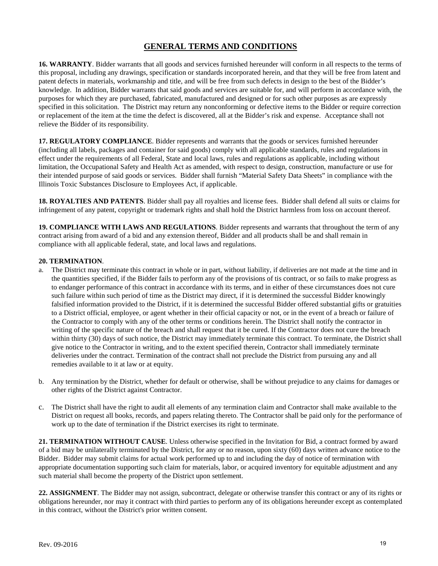**16. WARRANTY**. Bidder warrants that all goods and services furnished hereunder will conform in all respects to the terms of this proposal, including any drawings, specification or standards incorporated herein, and that they will be free from latent and patent defects in materials, workmanship and title, and will be free from such defects in design to the best of the Bidder's knowledge. In addition, Bidder warrants that said goods and services are suitable for, and will perform in accordance with, the purposes for which they are purchased, fabricated, manufactured and designed or for such other purposes as are expressly specified in this solicitation. The District may return any nonconforming or defective items to the Bidder or require correction or replacement of the item at the time the defect is discovered, all at the Bidder's risk and expense. Acceptance shall not relieve the Bidder of its responsibility.

**17. REGULATORY COMPLIANCE**. Bidder represents and warrants that the goods or services furnished hereunder (including all labels, packages and container for said goods) comply with all applicable standards, rules and regulations in effect under the requirements of all Federal, State and local laws, rules and regulations as applicable, including without limitation, the Occupational Safety and Health Act as amended, with respect to design, construction, manufacture or use for their intended purpose of said goods or services. Bidder shall furnish "Material Safety Data Sheets" in compliance with the Illinois Toxic Substances Disclosure to Employees Act, if applicable.

**18. ROYALTIES AND PATENTS**. Bidder shall pay all royalties and license fees. Bidder shall defend all suits or claims for infringement of any patent, copyright or trademark rights and shall hold the District harmless from loss on account thereof.

**19. COMPLIANCE WITH LAWS AND REGULATIONS**. Bidder represents and warrants that throughout the term of any contract arising from award of a bid and any extension thereof, Bidder and all products shall be and shall remain in compliance with all applicable federal, state, and local laws and regulations.

#### **20. TERMINATION**.

- a. The District may terminate this contract in whole or in part, without liability, if deliveries are not made at the time and in the quantities specified, if the Bidder fails to perform any of the provisions of tis contract, or so fails to make progress as to endanger performance of this contract in accordance with its terms, and in either of these circumstances does not cure such failure within such period of time as the District may direct, if it is determined the successful Bidder knowingly falsified information provided to the District, if it is determined the successful Bidder offered substantial gifts or gratuities to a District official, employee, or agent whether in their official capacity or not, or in the event of a breach or failure of the Contractor to comply with any of the other terms or conditions herein. The District shall notify the contractor in writing of the specific nature of the breach and shall request that it be cured. If the Contractor does not cure the breach within thirty (30) days of such notice, the District may immediately terminate this contract. To terminate, the District shall give notice to the Contractor in writing, and to the extent specified therein, Contractor shall immediately terminate deliveries under the contract. Termination of the contract shall not preclude the District from pursuing any and all remedies available to it at law or at equity.
- b. Any termination by the District, whether for default or otherwise, shall be without prejudice to any claims for damages or other rights of the District against Contractor.
- c. The District shall have the right to audit all elements of any termination claim and Contractor shall make available to the District on request all books, records, and papers relating thereto. The Contractor shall be paid only for the performance of work up to the date of termination if the District exercises its right to terminate.

**21. TERMINATION WITHOUT CAUSE**. Unless otherwise specified in the Invitation for Bid, a contract formed by award of a bid may be unilaterally terminated by the District, for any or no reason, upon sixty (60) days written advance notice to the Bidder. Bidder may submit claims for actual work performed up to and including the day of notice of termination with appropriate documentation supporting such claim for materials, labor, or acquired inventory for equitable adjustment and any such material shall become the property of the District upon settlement.

**22. ASSIGNMENT**. The Bidder may not assign, subcontract, delegate or otherwise transfer this contract or any of its rights or obligations hereunder, nor may it contract with third parties to perform any of its obligations hereunder except as contemplated in this contract, without the District's prior written consent.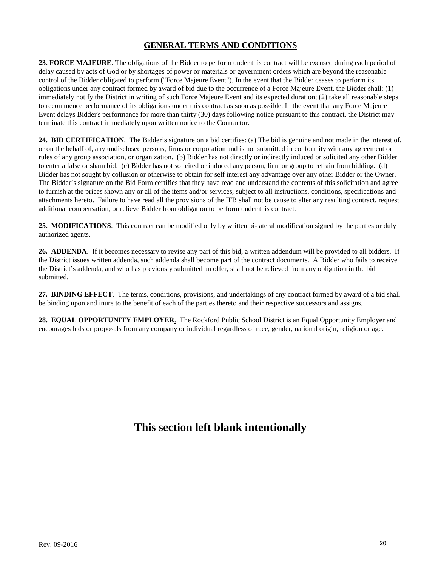**23. FORCE MAJEURE**. The obligations of the Bidder to perform under this contract will be excused during each period of delay caused by acts of God or by shortages of power or materials or government orders which are beyond the reasonable control of the Bidder obligated to perform ("Force Majeure Event"). In the event that the Bidder ceases to perform its obligations under any contract formed by award of bid due to the occurrence of a Force Majeure Event, the Bidder shall: (1) immediately notify the District in writing of such Force Majeure Event and its expected duration; (2) take all reasonable steps to recommence performance of its obligations under this contract as soon as possible. In the event that any Force Majeure Event delays Bidder's performance for more than thirty (30) days following notice pursuant to this contract, the District may terminate this contract immediately upon written notice to the Contractor.

**24. BID CERTIFICATION**. The Bidder's signature on a bid certifies: (a) The bid is genuine and not made in the interest of, or on the behalf of, any undisclosed persons, firms or corporation and is not submitted in conformity with any agreement or rules of any group association, or organization. (b) Bidder has not directly or indirectly induced or solicited any other Bidder to enter a false or sham bid. (c) Bidder has not solicited or induced any person, firm or group to refrain from bidding. (d) Bidder has not sought by collusion or otherwise to obtain for self interest any advantage over any other Bidder or the Owner. The Bidder's signature on the Bid Form certifies that they have read and understand the contents of this solicitation and agree to furnish at the prices shown any or all of the items and/or services, subject to all instructions, conditions, specifications and attachments hereto. Failure to have read all the provisions of the IFB shall not be cause to alter any resulting contract, request additional compensation, or relieve Bidder from obligation to perform under this contract.

**25. MODIFICATIONS**. This contract can be modified only by written bi-lateral modification signed by the parties or duly authorized agents.

**26. ADDENDA**. If it becomes necessary to revise any part of this bid, a written addendum will be provided to all bidders. If the District issues written addenda, such addenda shall become part of the contract documents. A Bidder who fails to receive the District's addenda, and who has previously submitted an offer, shall not be relieved from any obligation in the bid submitted.

**27. BINDING EFFECT**. The terms, conditions, provisions, and undertakings of any contract formed by award of a bid shall be binding upon and inure to the benefit of each of the parties thereto and their respective successors and assigns.

**28. EQUAL OPPORTUNITY EMPLOYER**. The Rockford Public School District is an Equal Opportunity Employer and encourages bids or proposals from any company or individual regardless of race, gender, national origin, religion or age.

# **This section left blank intentionally**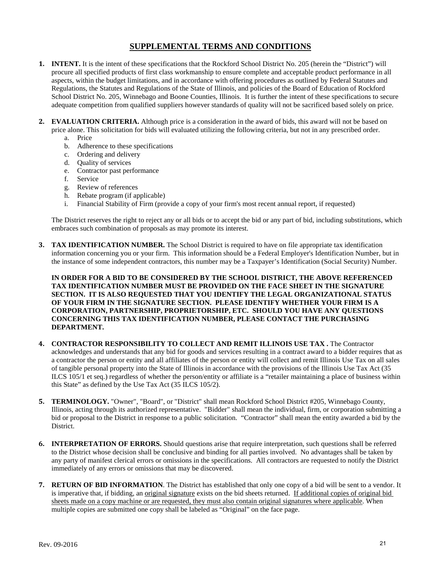- **1. INTENT.** It is the intent of these specifications that the Rockford School District No. 205 (herein the "District") will procure all specified products of first class workmanship to ensure complete and acceptable product performance in all aspects, within the budget limitations, and in accordance with offering procedures as outlined by Federal Statutes and Regulations, the Statutes and Regulations of the State of Illinois, and policies of the Board of Education of Rockford School District No. 205, Winnebago and Boone Counties, Illinois. It is further the intent of these specifications to secure adequate competition from qualified suppliers however standards of quality will not be sacrificed based solely on price.
- **2. EVALUATION CRITERIA.** Although price is a consideration in the award of bids, this award will not be based on price alone. This solicitation for bids will evaluated utilizing the following criteria, but not in any prescribed order.
	- a. Price
	- b. Adherence to these specifications
	- c. Ordering and delivery
	- d. Quality of services
	- e. Contractor past performance
	- f. Service
	- g. Review of references
	- h. Rebate program (if applicable)
	- i. Financial Stability of Firm (provide a copy of your firm's most recent annual report, if requested)

The District reserves the right to reject any or all bids or to accept the bid or any part of bid, including substitutions, which embraces such combination of proposals as may promote its interest.

**3. TAX IDENTIFICATION NUMBER.** The School District is required to have on file appropriate tax identification information concerning you or your firm. This information should be a Federal Employer's Identification Number, but in the instance of some independent contractors, this number may be a Taxpayer's Identification (Social Security) Number.

**IN ORDER FOR A BID TO BE CONSIDERED BY THE SCHOOL DISTRICT, THE ABOVE REFERENCED TAX IDENTIFICATION NUMBER MUST BE PROVIDED ON THE FACE SHEET IN THE SIGNATURE SECTION. IT IS ALSO REQUESTED THAT YOU IDENTIFY THE LEGAL ORGANIZATIONAL STATUS OF YOUR FIRM IN THE SIGNATURE SECTION. PLEASE IDENTIFY WHETHER YOUR FIRM IS A CORPORATION, PARTNERSHIP, PROPRIETORSHIP, ETC. SHOULD YOU HAVE ANY QUESTIONS CONCERNING THIS TAX IDENTIFICATION NUMBER, PLEASE CONTACT THE PURCHASING DEPARTMENT.**

- **4. CONTRACTOR RESPONSIBILITY TO COLLECT AND REMIT ILLINOIS USE TAX .** The Contractor acknowledges and understands that any bid for goods and services resulting in a contract award to a bidder requires that as a contractor the person or entity and all affiliates of the person or entity will collect and remit Illinois Use Tax on all sales of tangible personal property into the State of Illinois in accordance with the provisions of the Illinois Use Tax Act (35 ILCS 105/1 et seq.) regardless of whether the person/entity or affiliate is a "retailer maintaining a place of business within this State" as defined by the Use Tax Act (35 ILCS 105/2).
- **5. TERMINOLOGY.** "Owner", "Board", or "District" shall mean Rockford School District #205, Winnebago County, Illinois, acting through its authorized representative. "Bidder" shall mean the individual, firm, or corporation submitting a bid or proposal to the District in response to a public solicitation. "Contractor" shall mean the entity awarded a bid by the District.
- **6. INTERPRETATION OF ERRORS.** Should questions arise that require interpretation, such questions shall be referred to the District whose decision shall be conclusive and binding for all parties involved. No advantages shall be taken by any party of manifest clerical errors or omissions in the specifications. All contractors are requested to notify the District immediately of any errors or omissions that may be discovered.
- **7. RETURN OF BID INFORMATION**. The District has established that only one copy of a bid will be sent to a vendor. It is imperative that, if bidding, an <u>original signature</u> exists on the bid sheets returned. If additional copies of original bid sheets made on a copy machine or are requested, they must also contain original signatures where applicable. When multiple copies are submitted one copy shall be labeled as "Original" on the face page.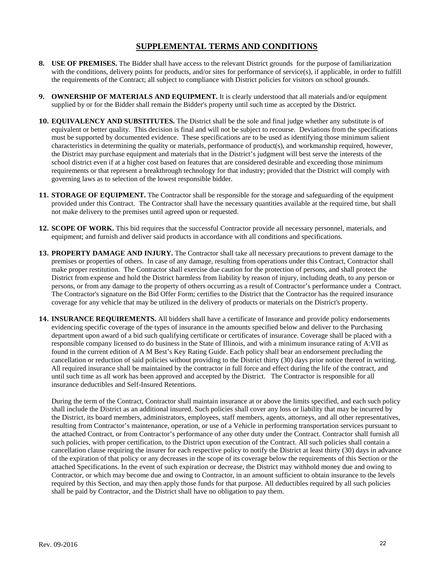- **8. USE OF PREMISES.** The Bidder shall have access to the relevant District grounds for the purpose of familiarization with the conditions, delivery points for products, and/or sites for performance of service(s), if applicable, in order to fulfill the requirements of the Contract; all subject to compliance with District policies for visitors on school grounds.
- **9. OWNERSHIP OF MATERIALS AND EQUIPMENT.** It is clearly understood that all materials and/or equipment supplied by or for the Bidder shall remain the Bidder's property until such time as accepted by the District.
- **10. EQUIVALENCY AND SUBSTITUTES.** The District shall be the sole and final judge whether any substitute is of equivalent or better quality. This decision is final and will not be subject to recourse. Deviations from the specifications must be supported by documented evidence. These specifications are to be used as identifying those minimum salient characteristics in determining the quality or materials, performance of product(s), and workmanship required, however, the District may purchase equipment and materials that in the District's judgment will best serve the interests of the school district even if at a higher cost based on features that are considered desirable and exceeding those minimum requirements or that represent a breakthrough technology for that industry; provided that the District will comply with governing laws as to selection of the lowest responsible bidder.
- **11. STORAGE OF EQUIPMENT.** The Contractor shall be responsible for the storage and safeguarding of the equipment provided under this Contract. The Contractor shall have the necessary quantities available at the required time, but shall not make delivery to the premises until agreed upon or requested.
- **12. SCOPE OF WORK.** This bid requires that the successful Contractor provide all necessary personnel, materials, and equipment; and furnish and deliver said products in accordance with all conditions and specifications.
- **13. PROPERTY DAMAGE AND INJURY.** The Contractor shall take all necessary precautions to prevent damage to the premises or properties of others. In case of any damage, resulting from operations under this Contract, Contractor shall make proper restitution. The Contractor shall exercise due caution for the protection of persons, and shall protect the District from expense and hold the District harmless from liability by reason of injury, including death, to any person or persons, or from any damage to the property of others occurring as a result of Contractor's performance under a Contract. The Contractor's signature on the Bid Offer Form; certifies to the District that the Contractor has the required insurance coverage for any vehicle that may be utilized in the delivery of products or materials on the District's property.
- **14. INSURANCE REQUIREMENTS.** All bidders shall have a certificate of Insurance and provide policy endorsements evidencing specific coverage of the types of insurance in the amounts specified below and deliver to the Purchasing department upon award of a bid such qualifying certificate or certificates of insurance. Coverage shall be placed with a responsible company licensed to do business in the State of Illinois, and with a minimum insurance rating of A:VII as found in the current edition of A M Best's Key Rating Guide. Each policy shall bear an endorsement precluding the cancellation or reduction of said policies without providing to the District thirty (30) days prior notice thereof in writing. All required insurance shall be maintained by the contractor in full force and effect during the life of the contract, and until such time as all work has been approved and accepted by the District. The Contractor is responsible for all insurance deductibles and Self-Insured Retentions.

During the term of the Contract, Contractor shall maintain insurance at or above the limits specified, and each such policy shall include the District as an additional insured. Such policies shall cover any loss or liability that may be incurred by the District, its board members, administrators, employees, staff members, agents, attorneys, and all other representatives, resulting from Contractor's maintenance, operation, or use of a Vehicle in performing transportation services pursuant to the attached Contract, or from Contractor's performance of any other duty under the Contract. Contractor shall furnish all such policies, with proper certification, to the District upon execution of the Contract. All such policies shall contain a cancellation clause requiring the insurer for each respective policy to notify the District at least thirty (30) days in advance of the expiration of that policy or any decreases in the scope of its coverage below the requirements of this Section or the attached Specifications. In the event of such expiration or decrease, the District may withhold money due and owing to Contractor, or which may become due and owing to Contractor, in an amount sufficient to obtain insurance to the levels required by this Section, and may then apply those funds for that purpose. All deductibles required by all such policies shall be paid by Contractor, and the District shall have no obligation to pay them.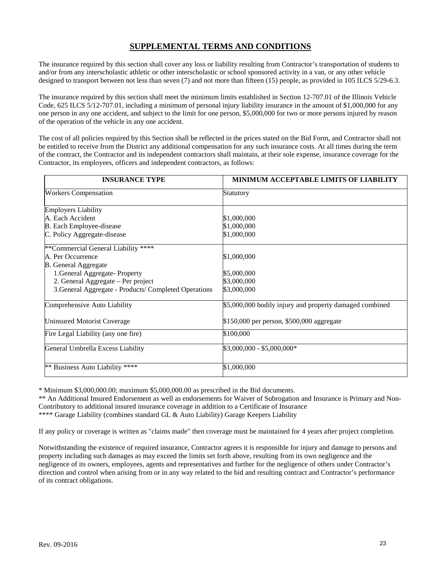The insurance required by this section shall cover any loss or liability resulting from Contractor's transportation of students to and/or from any interscholastic athletic or other interscholastic or school sponsored activity in a van, or any other vehicle designed to transport between not less than seven (7) and not more than fifteen (15) people, as provided in 105 ILCS 5/29-6.3.

The insurance required by this section shall meet the minimum limits established in Section 12-707.01 of the Illinois Vehicle Code, 625 ILCS 5/12-707.01, including a minimum of personal injury liability insurance in the amount of \$1,000,000 for any one person in any one accident, and subject to the limit for one person, \$5,000,000 for two or more persons injured by reason of the operation of the vehicle in any one accident.

The cost of all policies required by this Section shall be reflected in the prices stated on the Bid Form, and Contractor shall not be entitled to receive from the District any additional compensation for any such insurance costs. At all times during the term of the contract, the Contractor and its independent contractors shall maintain, at their sole expense, insurance coverage for the Contractor, its employees, officers and independent contractors, as follows:

| <b>INSURANCE TYPE</b>                                 | MINIMUM ACCEPTABLE LIMITS OF LIABILITY                  |
|-------------------------------------------------------|---------------------------------------------------------|
| <b>Workers Compensation</b>                           | Statutory                                               |
| <b>Employers Liability</b>                            |                                                         |
| A. Each Accident                                      | \$1,000,000                                             |
| B. Each Employee-disease                              | \$1,000,000                                             |
| C. Policy Aggregate-disease                           | \$1,000,000                                             |
| ***Commercial General Liability ****                  |                                                         |
| A. Per Occurrence                                     | \$1,000,000                                             |
| <b>B.</b> General Aggregate                           |                                                         |
| 1. General Aggregate-Property                         | \$5,000,000                                             |
| 2. General Aggregate – Per project                    | \$3,000,000                                             |
| 3. General Aggregate - Products/ Completed Operations | \$3,000,000                                             |
| Comprehensive Auto Liability                          | \$5,000,000 bodily injury and property damaged combined |
| <b>Uninsured Motorist Coverage</b>                    | \$150,000 per person, \$500,000 aggregate               |
| Fire Legal Liability (any one fire)                   | \$100,000                                               |
| General Umbrella Excess Liability                     | \$3,000,000 - \$5,000,000*                              |
| ** Business Auto Liability ****                       | \$1,000,000                                             |

\* Minimum \$3,000,000.00; maximum \$5,000,000.00 as prescribed in the Bid documents.

\*\* An Additional Insured Endorsement as well as endorsements for Waiver of Subrogation and Insurance is Primary and Non-Contributory to additional insured insurance coverage in addition to a Certificate of Insurance \*\*\*\* Garage Liability (combines standard GL & Auto Liability) Garage Keepers Liability

If any policy or coverage is written as "claims made" then coverage must be maintained for 4 years after project completion.

Notwithstanding the existence of required insurance, Contractor agrees it is responsible for injury and damage to persons and property including such damages as may exceed the limits set forth above, resulting from its own negligence and the negligence of its owners, employees, agents and representatives and further for the negligence of others under Contractor's direction and control when arising from or in any way related to the bid and resulting contract and Contractor's performance of its contract obligations.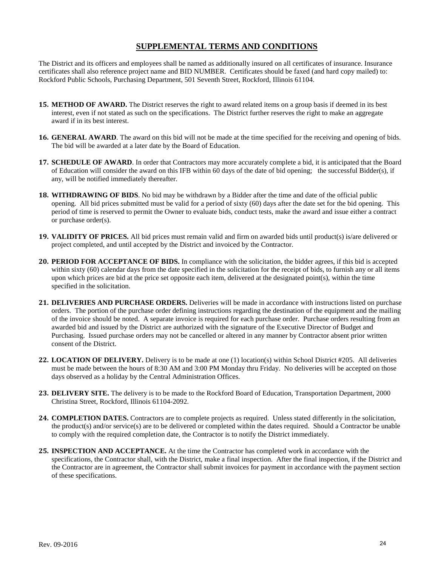The District and its officers and employees shall be named as additionally insured on all certificates of insurance. Insurance certificates shall also reference project name and BID NUMBER. Certificates should be faxed (and hard copy mailed) to: Rockford Public Schools, Purchasing Department, 501 Seventh Street, Rockford, Illinois 61104.

- **15. METHOD OF AWARD.** The District reserves the right to award related items on a group basis if deemed in its best interest, even if not stated as such on the specifications. The District further reserves the right to make an aggregate award if in its best interest.
- **16. GENERAL AWARD**. The award on this bid will not be made at the time specified for the receiving and opening of bids. The bid will be awarded at a later date by the Board of Education.
- **17. SCHEDULE OF AWARD**. In order that Contractors may more accurately complete a bid, it is anticipated that the Board of Education will consider the award on this IFB within 60 days of the date of bid opening; the successful Bidder(s), if any, will be notified immediately thereafter.
- **18. WITHDRAWING OF BIDS**. No bid may be withdrawn by a Bidder after the time and date of the official public opening. All bid prices submitted must be valid for a period of sixty (60) days after the date set for the bid opening. This period of time is reserved to permit the Owner to evaluate bids, conduct tests, make the award and issue either a contract or purchase order(s).
- **19. VALIDITY OF PRICES.** All bid prices must remain valid and firm on awarded bids until product(s) is/are delivered or project completed, and until accepted by the District and invoiced by the Contractor.
- **20. PERIOD FOR ACCEPTANCE OF BIDS.** In compliance with the solicitation, the bidder agrees, if this bid is accepted within sixty (60) calendar days from the date specified in the solicitation for the receipt of bids, to furnish any or all items upon which prices are bid at the price set opposite each item, delivered at the designated point(s), within the time specified in the solicitation.
- **21. DELIVERIES AND PURCHASE ORDERS.** Deliveries will be made in accordance with instructions listed on purchase orders. The portion of the purchase order defining instructions regarding the destination of the equipment and the mailing of the invoice should be noted. A separate invoice is required for each purchase order. Purchase orders resulting from an awarded bid and issued by the District are authorized with the signature of the Executive Director of Budget and Purchasing. Issued purchase orders may not be cancelled or altered in any manner by Contractor absent prior written consent of the District.
- **22. LOCATION OF DELIVERY.** Delivery is to be made at one (1) location(s) within School District #205. All deliveries must be made between the hours of 8:30 AM and 3:00 PM Monday thru Friday. No deliveries will be accepted on those days observed as a holiday by the Central Administration Offices.
- **23. DELIVERY SITE.** The delivery is to be made to the Rockford Board of Education, Transportation Department, 2000 Christina Street, Rockford, Illinois 61104-2092.
- **24. COMPLETION DATES.** Contractors are to complete projects as required. Unless stated differently in the solicitation, the product(s) and/or service(s) are to be delivered or completed within the dates required. Should a Contractor be unable to comply with the required completion date, the Contractor is to notify the District immediately.
- **25. INSPECTION AND ACCEPTANCE.** At the time the Contractor has completed work in accordance with the specifications, the Contractor shall, with the District, make a final inspection. After the final inspection, if the District and the Contractor are in agreement, the Contractor shall submit invoices for payment in accordance with the payment section of these specifications.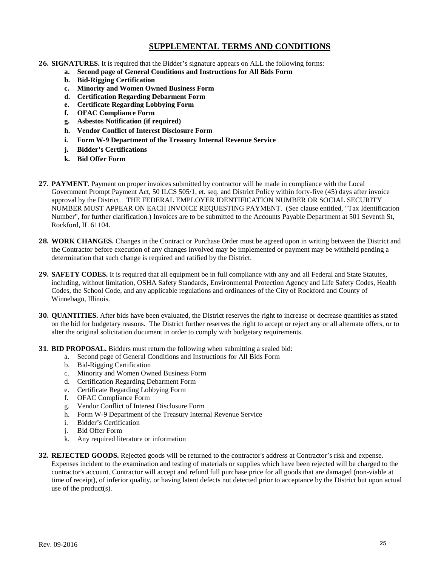- **26. SIGNATURES.** It is required that the Bidder's signature appears on ALL the following forms:
	- **a. Second page of General Conditions and Instructions for All Bids Form**
	- **b. Bid-Rigging Certification**
	- **c. Minority and Women Owned Business Form**
	- **d. Certification Regarding Debarment Form**
	- **e. Certificate Regarding Lobbying Form**
	- **f. OFAC Compliance Form**
	- **g. Asbestos Notification (if required)**
	- **h. Vendor Conflict of Interest Disclosure Form**
	- **i. Form W-9 Department of the Treasury Internal Revenue Service**
	- **j. Bidder's Certifications**
	- **k. Bid Offer Form**
- **27. PAYMENT**. Payment on proper invoices submitted by contractor will be made in compliance with the Local Government Prompt Payment Act, 50 ILCS 505/1, et. seq. and District Policy within forty-five (45) days after invoice approval by the District. THE FEDERAL EMPLOYER IDENTIFICATION NUMBER OR SOCIAL SECURITY NUMBER MUST APPEAR ON EACH INVOICE REQUESTING PAYMENT. (See clause entitled, "Tax Identification Number", for further clarification.) Invoices are to be submitted to the Accounts Payable Department at 501 Seventh St, Rockford, IL 61104.
- **28. WORK CHANGES.** Changes in the Contract or Purchase Order must be agreed upon in writing between the District and the Contractor before execution of any changes involved may be implemented or payment may be withheld pending a determination that such change is required and ratified by the District.
- **29. SAFETY CODES.** It is required that all equipment be in full compliance with any and all Federal and State Statutes, including, without limitation, OSHA Safety Standards, Environmental Protection Agency and Life Safety Codes, Health Codes, the School Code, and any applicable regulations and ordinances of the City of Rockford and County of Winnebago, Illinois.
- **30. QUANTITIES.** After bids have been evaluated, the District reserves the right to increase or decrease quantities as stated on the bid for budgetary reasons. The District further reserves the right to accept or reject any or all alternate offers, or to alter the original solicitation document in order to comply with budgetary requirements.
- **31. BID PROPOSAL.** Bidders must return the following when submitting a sealed bid:
	- a. Second page of General Conditions and Instructions for All Bids Form
	- b. Bid-Rigging Certification
	- c. Minority and Women Owned Business Form
	- d. Certification Regarding Debarment Form
	- e. Certificate Regarding Lobbying Form
	- f. OFAC Compliance Form
	- g. Vendor Conflict of Interest Disclosure Form
	- h. Form W-9 Department of the Treasury Internal Revenue Service
	- i. Bidder's Certification
	- j. Bid Offer Form
	- k. Any required literature or information
- **32. REJECTED GOODS.** Rejected goods will be returned to the contractor's address at Contractor's risk and expense. Expenses incident to the examination and testing of materials or supplies which have been rejected will be charged to the contractor's account. Contractor will accept and refund full purchase price for all goods that are damaged (non-viable at time of receipt), of inferior quality, or having latent defects not detected prior to acceptance by the District but upon actual use of the product(s).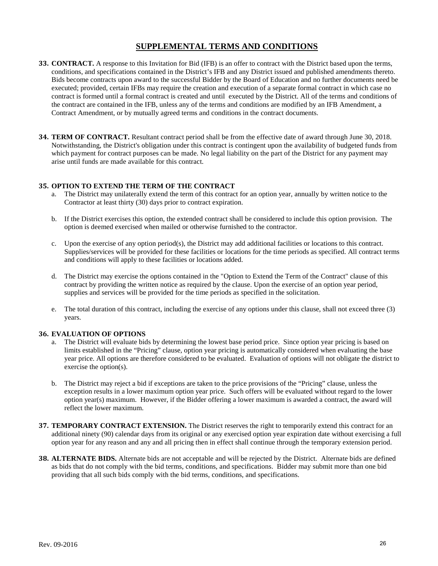- **33. CONTRACT.** A response to this Invitation for Bid (IFB) is an offer to contract with the District based upon the terms, conditions, and specifications contained in the District's IFB and any District issued and published amendments thereto. Bids become contracts upon award to the successful Bidder by the Board of Education and no further documents need be executed; provided, certain IFBs may require the creation and execution of a separate formal contract in which case no contract is formed until a formal contract is created and until executed by the District. All of the terms and conditions of the contract are contained in the IFB, unless any of the terms and conditions are modified by an IFB Amendment, a Contract Amendment, or by mutually agreed terms and conditions in the contract documents.
- **34. TERM OF CONTRACT.** Resultant contract period shall be from the effective date of award through June 30, 2018. Notwithstanding, the District's obligation under this contract is contingent upon the availability of budgeted funds from which payment for contract purposes can be made. No legal liability on the part of the District for any payment may arise until funds are made available for this contract.

#### **35. OPTION TO EXTEND THE TERM OF THE CONTRACT**

- a. The District may unilaterally extend the term of this contract for an option year, annually by written notice to the Contractor at least thirty (30) days prior to contract expiration.
- b. If the District exercises this option, the extended contract shall be considered to include this option provision. The option is deemed exercised when mailed or otherwise furnished to the contractor.
- c. Upon the exercise of any option period(s), the District may add additional facilities or locations to this contract. Supplies/services will be provided for these facilities or locations for the time periods as specified. All contract terms and conditions will apply to these facilities or locations added.
- d. The District may exercise the options contained in the "Option to Extend the Term of the Contract" clause of this contract by providing the written notice as required by the clause. Upon the exercise of an option year period, supplies and services will be provided for the time periods as specified in the solicitation.
- e. The total duration of this contract, including the exercise of any options under this clause, shall not exceed three (3) years.

#### **36. EVALUATION OF OPTIONS**

- a. The District will evaluate bids by determining the lowest base period price. Since option year pricing is based on limits established in the "Pricing" clause, option year pricing is automatically considered when evaluating the base year price. All options are therefore considered to be evaluated. Evaluation of options will not obligate the district to exercise the option(s).
- b. The District may reject a bid if exceptions are taken to the price provisions of the "Pricing" clause, unless the exception results in a lower maximum option year price. Such offers will be evaluated without regard to the lower option year(s) maximum. However, if the Bidder offering a lower maximum is awarded a contract, the award will reflect the lower maximum.
- **37. TEMPORARY CONTRACT EXTENSION.** The District reserves the right to temporarily extend this contract for an additional ninety (90) calendar days from its original or any exercised option year expiration date without exercising a full option year for any reason and any and all pricing then in effect shall continue through the temporary extension period.
- **38. ALTERNATE BIDS.** Alternate bids are not acceptable and will be rejected by the District. Alternate bids are defined as bids that do not comply with the bid terms, conditions, and specifications. Bidder may submit more than one bid providing that all such bids comply with the bid terms, conditions, and specifications.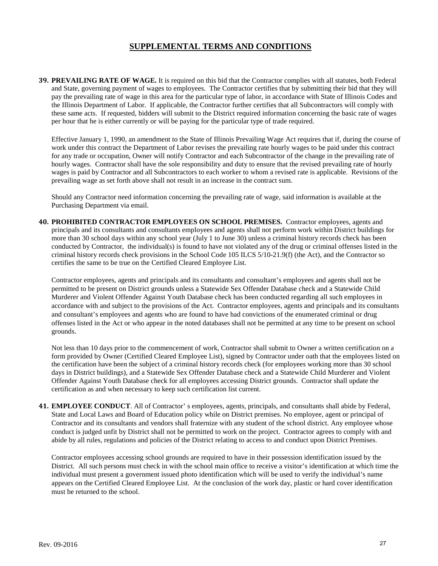**39. PREVAILING RATE OF WAGE.** It is required on this bid that the Contractor complies with all statutes, both Federal and State, governing payment of wages to employees. The Contractor certifies that by submitting their bid that they will pay the prevailing rate of wage in this area for the particular type of labor, in accordance with State of Illinois Codes and the Illinois Department of Labor. If applicable, the Contractor further certifies that all Subcontractors will comply with these same acts. If requested, bidders will submit to the District required information concerning the basic rate of wages per hour that he is either currently or will be paying for the particular type of trade required.

Effective January 1, 1990, an amendment to the State of Illinois Prevailing Wage Act requires that if, during the course of work under this contract the Department of Labor revises the prevailing rate hourly wages to be paid under this contract for any trade or occupation, Owner will notify Contractor and each Subcontractor of the change in the prevailing rate of hourly wages. Contractor shall have the sole responsibility and duty to ensure that the revised prevailing rate of hourly wages is paid by Contractor and all Subcontractors to each worker to whom a revised rate is applicable. Revisions of the prevailing wage as set forth above shall not result in an increase in the contract sum.

Should any Contractor need information concerning the prevailing rate of wage, said information is available at the Purchasing Department via email.

**40. PROHIBITED CONTRACTOR EMPLOYEES ON SCHOOL PREMISES.** Contractor employees, agents and principals and its consultants and consultants employees and agents shall not perform work within District buildings for more than 30 school days within any school year (July 1 to June 30) unless a criminal history records check has been conducted by Contractor, the individual(s) is found to have not violated any of the drug or criminal offenses listed in the criminal history records check provisions in the School Code 105 ILCS 5/10-21.9(f) (the Act), and the Contractor so certifies the same to be true on the Certified Cleared Employee List.

Contractor employees, agents and principals and its consultants and consultant's employees and agents shall not be permitted to be present on District grounds unless a Statewide Sex Offender Database check and a Statewide Child Murderer and Violent Offender Against Youth Database check has been conducted regarding all such employees in accordance with and subject to the provisions of the Act. Contractor employees, agents and principals and its consultants and consultant's employees and agents who are found to have had convictions of the enumerated criminal or drug offenses listed in the Act or who appear in the noted databases shall not be permitted at any time to be present on school grounds.

Not less than 10 days prior to the commencement of work, Contractor shall submit to Owner a written certification on a form provided by Owner (Certified Cleared Employee List), signed by Contractor under oath that the employees listed on the certification have been the subject of a criminal history records check (for employees working more than 30 school days in District buildings), and a Statewide Sex Offender Database check and a Statewide Child Murderer and Violent Offender Against Youth Database check for all employees accessing District grounds. Contractor shall update the certification as and when necessary to keep such certification list current.

**41. EMPLOYEE CONDUCT**. All of Contractor' s employees, agents, principals, and consultants shall abide by Federal, State and Local Laws and Board of Education policy while on District premises. No employee, agent or principal of Contractor and its consultants and vendors shall fraternize with any student of the school district. Any employee whose conduct is judged unfit by District shall not be permitted to work on the project. Contractor agrees to comply with and abide by all rules, regulations and policies of the District relating to access to and conduct upon District Premises.

Contractor employees accessing school grounds are required to have in their possession identification issued by the District. All such persons must check in with the school main office to receive a visitor's identification at which time the individual must present a government issued photo identification which will be used to verify the individual's name appears on the Certified Cleared Employee List. At the conclusion of the work day, plastic or hard cover identification must be returned to the school.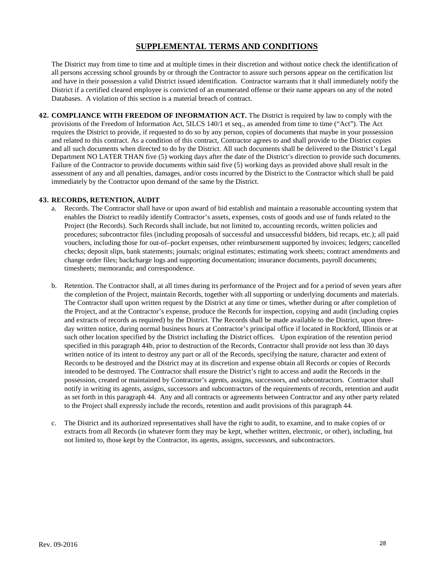The District may from time to time and at multiple times in their discretion and without notice check the identification of all persons accessing school grounds by or through the Contractor to assure such persons appear on the certification list and have in their possession a valid District issued identification. Contractor warrants that it shall immediately notify the District if a certified cleared employee is convicted of an enumerated offense or their name appears on any of the noted Databases. A violation of this section is a material breach of contract.

**42. COMPLIANCE WITH FREEDOM OF INFORMATION ACT.** The District is required by law to comply with the provisions of the Freedom of Information Act, 5ILCS 140/1 et seq., as amended from time to time ("Act"). The Act requires the District to provide, if requested to do so by any person, copies of documents that maybe in your possession and related to this contract. As a condition of this contract, Contractor agrees to and shall provide to the District copies and all such documents when directed to do by the District. All such documents shall be delivered to the District's Legal Department NO LATER THAN five (5) working days after the date of the District's direction to provide such documents. Failure of the Contractor to provide documents within said five (5) working days as provided above shall result in the assessment of any and all penalties, damages, and/or costs incurred by the District to the Contractor which shall be paid immediately by the Contractor upon demand of the same by the District.

#### **43. RECORDS, RETENTION, AUDIT**

- a. Records. The Contractor shall have or upon award of bid establish and maintain a reasonable accounting system that enables the District to readily identify Contractor's assets, expenses, costs of goods and use of funds related to the Project (the Records). Such Records shall include, but not limited to, accounting records, written policies and procedures; subcontractor files (including proposals of successful and unsuccessful bidders, bid recaps, etc.); all paid vouchers, including those for out-of–pocket expenses, other reimbursement supported by invoices; ledgers; cancelled checks; deposit slips, bank statements; journals; original estimates; estimating work sheets; contract amendments and change order files; backcharge logs and supporting documentation; insurance documents, payroll documents; timesheets; memoranda; and correspondence.
- b. Retention. The Contractor shall, at all times during its performance of the Project and for a period of seven years after the completion of the Project, maintain Records, together with all supporting or underlying documents and materials. The Contractor shall upon written request by the District at any time or times, whether during or after completion of the Project, and at the Contractor's expense, produce the Records for inspection, copying and audit (including copies and extracts of records as required) by the District. The Records shall be made available to the District, upon threeday written notice, during normal business hours at Contractor's principal office if located in Rockford, Illinois or at such other location specified by the District including the District offices. Upon expiration of the retention period specified in this paragraph 44b, prior to destruction of the Records, Contractor shall provide not less than 30 days written notice of its intent to destroy any part or all of the Records, specifying the nature, character and extent of Records to be destroyed and the District may at its discretion and expense obtain all Records or copies of Records intended to be destroyed. The Contractor shall ensure the District's right to access and audit the Records in the possession, created or maintained by Contractor's agents, assigns, successors, and subcontractors. Contractor shall notify in writing its agents, assigns, successors and subcontractors of the requirements of records, retention and audit as set forth in this paragraph 44. Any and all contracts or agreements between Contractor and any other party related to the Project shall expressly include the records, retention and audit provisions of this paragraph 44.
- c. The District and its authorized representatives shall have the right to audit, to examine, and to make copies of or extracts from all Records (in whatever form they may be kept, whether written, electronic, or other), including, but not limited to, those kept by the Contractor, its agents, assigns, successors, and subcontractors.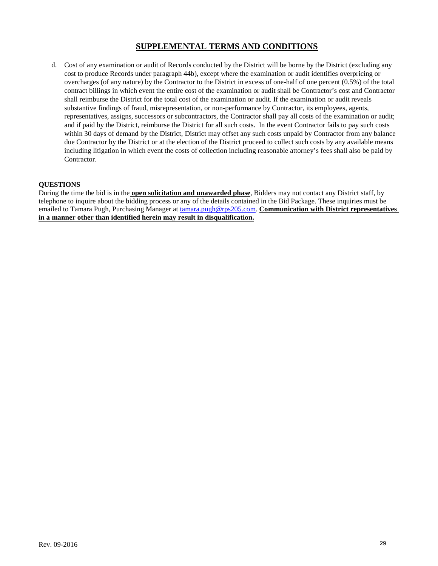d. Cost of any examination or audit of Records conducted by the District will be borne by the District (excluding any cost to produce Records under paragraph 44b), except where the examination or audit identifies overpricing or overcharges (of any nature) by the Contractor to the District in excess of one-half of one percent (0.5%) of the total contract billings in which event the entire cost of the examination or audit shall be Contractor's cost and Contractor shall reimburse the District for the total cost of the examination or audit. If the examination or audit reveals substantive findings of fraud, misrepresentation, or non-performance by Contractor, its employees, agents, representatives, assigns, successors or subcontractors, the Contractor shall pay all costs of the examination or audit; and if paid by the District, reimburse the District for all such costs. In the event Contractor fails to pay such costs within 30 days of demand by the District, District may offset any such costs unpaid by Contractor from any balance due Contractor by the District or at the election of the District proceed to collect such costs by any available means including litigation in which event the costs of collection including reasonable attorney's fees shall also be paid by Contractor.

#### **QUESTIONS**

During the time the bid is in the **open solicitation and unawarded phase**, Bidders may not contact any District staff, by telephone to inquire about the bidding process or any of the details contained in the Bid Package. These inquiries must be emailed to Tamara Pugh, Purchasing Manager a[t tamara.pugh@rps205.com.](mailto:tamara.pugh@rps205.com) **Communication with District representatives in a manner other than identified herein may result in disqualification.**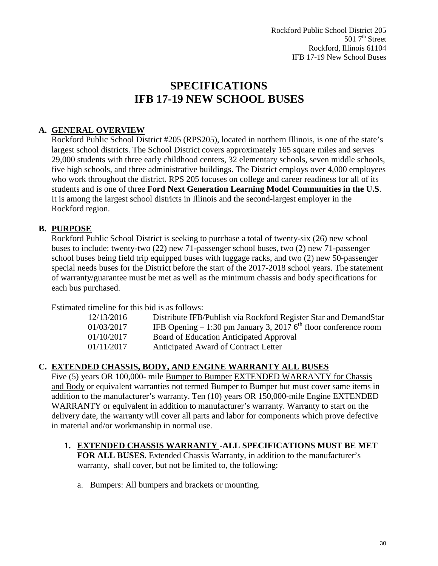Rockford Public School District 205  $5017<sup>th</sup> Street$ Rockford, Illinois 61104 IFB 17-19 New School Buses

# **SPECIFICATIONS IFB 17-19 NEW SCHOOL BUSES**

# **A. GENERAL OVERVIEW**

Rockford Public School District #205 (RPS205), located in northern Illinois, is one of the state's largest school districts. The School District covers approximately 165 square miles and serves 29,000 students with three early childhood centers, 32 elementary schools, seven middle schools, five high schools, and three administrative buildings. The District employs over 4,000 employees who work throughout the district. RPS 205 focuses on college and career readiness for all of its students and is one of three **Ford Next Generation Learning Model Communities in the U.S**. It is among the largest school districts in Illinois and the second-largest employer in the Rockford region.

## **B. PURPOSE**

Rockford Public School District is seeking to purchase a total of twenty-six (26) new school buses to include: twenty-two (22) new 71-passenger school buses, two (2) new 71-passenger school buses being field trip equipped buses with luggage racks, and two (2) new 50-passenger special needs buses for the District before the start of the 2017-2018 school years. The statement of warranty/guarantee must be met as well as the minimum chassis and body specifications for each bus purchased.

Estimated timeline for this bid is as follows:

| 12/13/2016 | Distribute IFB/Publish via Rockford Register Star and DemandStar             |
|------------|------------------------------------------------------------------------------|
| 01/03/2017 | IFB Opening $-1:30$ pm January 3, 2017 6 <sup>th</sup> floor conference room |
| 01/10/2017 | Board of Education Anticipated Approval                                      |
| 01/11/2017 | Anticipated Award of Contract Letter                                         |

## **C. EXTENDED CHASSIS, BODY, AND ENGINE WARRANTY ALL BUSES**

Five (5) years OR 100,000- mile Bumper to Bumper EXTENDED WARRANTY for Chassis and Body or equivalent warranties not termed Bumper to Bumper but must cover same items in addition to the manufacturer's warranty. Ten (10) years OR 150,000-mile Engine EXTENDED WARRANTY or equivalent in addition to manufacturer's warranty. Warranty to start on the delivery date, the warranty will cover all parts and labor for components which prove defective in material and/or workmanship in normal use.

- **1. EXTENDED CHASSIS WARRANTY -ALL SPECIFICATIONS MUST BE MET FOR ALL BUSES.** Extended Chassis Warranty, in addition to the manufacturer's warranty, shall cover, but not be limited to, the following:
	- a. Bumpers: All bumpers and brackets or mounting.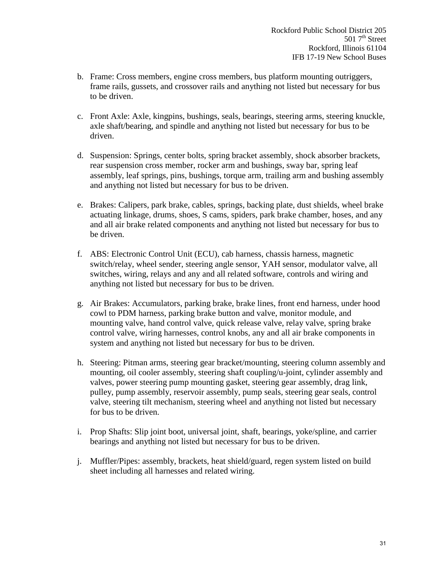- b. Frame: Cross members, engine cross members, bus platform mounting outriggers, frame rails, gussets, and crossover rails and anything not listed but necessary for bus to be driven.
- c. Front Axle: Axle, kingpins, bushings, seals, bearings, steering arms, steering knuckle, axle shaft/bearing, and spindle and anything not listed but necessary for bus to be driven.
- d. Suspension: Springs, center bolts, spring bracket assembly, shock absorber brackets, rear suspension cross member, rocker arm and bushings, sway bar, spring leaf assembly, leaf springs, pins, bushings, torque arm, trailing arm and bushing assembly and anything not listed but necessary for bus to be driven.
- e. Brakes: Calipers, park brake, cables, springs, backing plate, dust shields, wheel brake actuating linkage, drums, shoes, S cams, spiders, park brake chamber, hoses, and any and all air brake related components and anything not listed but necessary for bus to be driven.
- f. ABS: Electronic Control Unit (ECU), cab harness, chassis harness, magnetic switch/relay, wheel sender, steering angle sensor, YAH sensor, modulator valve, all switches, wiring, relays and any and all related software, controls and wiring and anything not listed but necessary for bus to be driven.
- g. Air Brakes: Accumulators, parking brake, brake lines, front end harness, under hood cowl to PDM harness, parking brake button and valve, monitor module, and mounting valve, hand control valve, quick release valve, relay valve, spring brake control valve, wiring harnesses, control knobs, any and all air brake components in system and anything not listed but necessary for bus to be driven.
- h. Steering: Pitman arms, steering gear bracket/mounting, steering column assembly and mounting, oil cooler assembly, steering shaft coupling/u-joint, cylinder assembly and valves, power steering pump mounting gasket, steering gear assembly, drag link, pulley, pump assembly, reservoir assembly, pump seals, steering gear seals, control valve, steering tilt mechanism, steering wheel and anything not listed but necessary for bus to be driven.
- i. Prop Shafts: Slip joint boot, universal joint, shaft, bearings, yoke/spline, and carrier bearings and anything not listed but necessary for bus to be driven.
- j. Muffler/Pipes: assembly, brackets, heat shield/guard, regen system listed on build sheet including all harnesses and related wiring.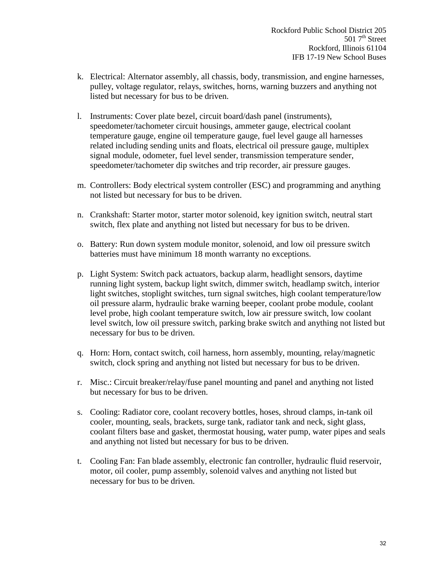- k. Electrical: Alternator assembly, all chassis, body, transmission, and engine harnesses, pulley, voltage regulator, relays, switches, horns, warning buzzers and anything not listed but necessary for bus to be driven.
- l. Instruments: Cover plate bezel, circuit board/dash panel (instruments), speedometer/tachometer circuit housings, ammeter gauge, electrical coolant temperature gauge, engine oil temperature gauge, fuel level gauge all harnesses related including sending units and floats, electrical oil pressure gauge, multiplex signal module, odometer, fuel level sender, transmission temperature sender, speedometer/tachometer dip switches and trip recorder, air pressure gauges.
- m. Controllers: Body electrical system controller (ESC) and programming and anything not listed but necessary for bus to be driven.
- n. Crankshaft: Starter motor, starter motor solenoid, key ignition switch, neutral start switch, flex plate and anything not listed but necessary for bus to be driven.
- o. Battery: Run down system module monitor, solenoid, and low oil pressure switch batteries must have minimum 18 month warranty no exceptions.
- p. Light System: Switch pack actuators, backup alarm, headlight sensors, daytime running light system, backup light switch, dimmer switch, headlamp switch, interior light switches, stoplight switches, turn signal switches, high coolant temperature/low oil pressure alarm, hydraulic brake warning beeper, coolant probe module, coolant level probe, high coolant temperature switch, low air pressure switch, low coolant level switch, low oil pressure switch, parking brake switch and anything not listed but necessary for bus to be driven.
- q. Horn: Horn, contact switch, coil harness, horn assembly, mounting, relay/magnetic switch, clock spring and anything not listed but necessary for bus to be driven.
- r. Misc.: Circuit breaker/relay/fuse panel mounting and panel and anything not listed but necessary for bus to be driven.
- s. Cooling: Radiator core, coolant recovery bottles, hoses, shroud clamps, in-tank oil cooler, mounting, seals, brackets, surge tank, radiator tank and neck, sight glass, coolant filters base and gasket, thermostat housing, water pump, water pipes and seals and anything not listed but necessary for bus to be driven.
- t. Cooling Fan: Fan blade assembly, electronic fan controller, hydraulic fluid reservoir, motor, oil cooler, pump assembly, solenoid valves and anything not listed but necessary for bus to be driven.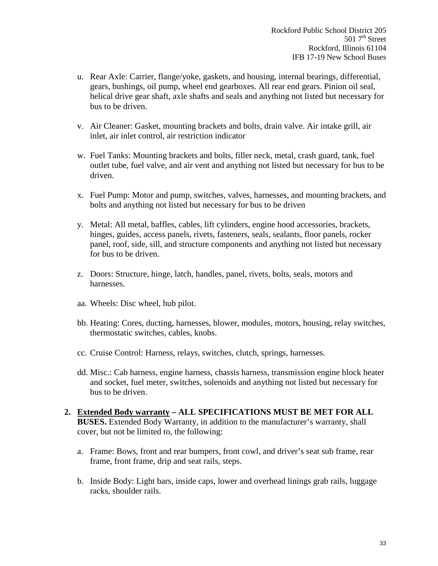- u. Rear Axle: Carrier, flange/yoke, gaskets, and housing, internal bearings, differential, gears, bushings, oil pump, wheel end gearboxes. All rear end gears. Pinion oil seal, helical drive gear shaft, axle shafts and seals and anything not listed but necessary for bus to be driven.
- v. Air Cleaner: Gasket, mounting brackets and bolts, drain valve. Air intake grill, air inlet, air inlet control, air restriction indicator
- w. Fuel Tanks: Mounting brackets and bolts, filler neck, metal, crash guard, tank, fuel outlet tube, fuel valve, and air vent and anything not listed but necessary for bus to be driven.
- x. Fuel Pump: Motor and pump, switches, valves, harnesses, and mounting brackets, and bolts and anything not listed but necessary for bus to be driven
- y. Metal: All metal, baffles, cables, lift cylinders, engine hood accessories, brackets, hinges, guides, access panels, rivets, fasteners, seals, sealants, floor panels, rocker panel, roof, side, sill, and structure components and anything not listed but necessary for bus to be driven.
- z. Doors: Structure, hinge, latch, handles, panel, rivets, bolts, seals, motors and harnesses.
- aa. Wheels: Disc wheel, hub pilot.
- bb. Heating: Cores, ducting, harnesses, blower, modules, motors, housing, relay switches, thermostatic switches, cables, knobs.
- cc. Cruise Control: Harness, relays, switches, clutch, springs, harnesses.
- dd. Misc.: Cab harness, engine harness, chassis harness, transmission engine block heater and socket, fuel meter, switches, solenoids and anything not listed but necessary for bus to be driven.
- **2. Extended Body warranty ALL SPECIFICATIONS MUST BE MET FOR ALL BUSES.** Extended Body Warranty, in addition to the manufacturer's warranty, shall cover, but not be limited to, the following:
	- a. Frame: Bows, front and rear bumpers, front cowl, and driver's seat sub frame, rear frame, front frame, drip and seat rails, steps.
	- b. Inside Body: Light bars, inside caps, lower and overhead linings grab rails, luggage racks, shoulder rails.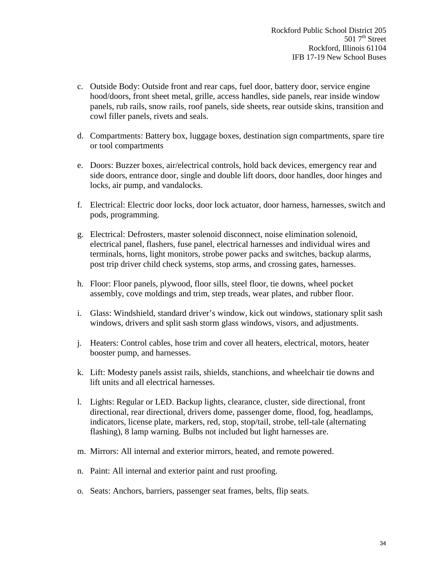- c. Outside Body: Outside front and rear caps, fuel door, battery door, service engine hood/doors, front sheet metal, grille, access handles, side panels, rear inside window panels, rub rails, snow rails, roof panels, side sheets, rear outside skins, transition and cowl filler panels, rivets and seals.
- d. Compartments: Battery box, luggage boxes, destination sign compartments, spare tire or tool compartments
- e. Doors: Buzzer boxes, air/electrical controls, hold back devices, emergency rear and side doors, entrance door, single and double lift doors, door handles, door hinges and locks, air pump, and vandalocks.
- f. Electrical: Electric door locks, door lock actuator, door harness, harnesses, switch and pods, programming.
- g. Electrical: Defrosters, master solenoid disconnect, noise elimination solenoid, electrical panel, flashers, fuse panel, electrical harnesses and individual wires and terminals, horns, light monitors, strobe power packs and switches, backup alarms, post trip driver child check systems, stop arms, and crossing gates, harnesses.
- h. Floor: Floor panels, plywood, floor sills, steel floor, tie downs, wheel pocket assembly, cove moldings and trim, step treads, wear plates, and rubber floor.
- i. Glass: Windshield, standard driver's window, kick out windows, stationary split sash windows, drivers and split sash storm glass windows, visors, and adjustments.
- j. Heaters: Control cables, hose trim and cover all heaters, electrical, motors, heater booster pump, and harnesses.
- k. Lift: Modesty panels assist rails, shields, stanchions, and wheelchair tie downs and lift units and all electrical harnesses.
- l. Lights: Regular or LED. Backup lights, clearance, cluster, side directional, front directional, rear directional, drivers dome, passenger dome, flood, fog, headlamps, indicators, license plate, markers, red, stop, stop/tail, strobe, tell-tale (alternating flashing), 8 lamp warning. Bulbs not included but light harnesses are.
- m. Mirrors: All internal and exterior mirrors, heated, and remote powered.
- n. Paint: All internal and exterior paint and rust proofing.
- o. Seats: Anchors, barriers, passenger seat frames, belts, flip seats.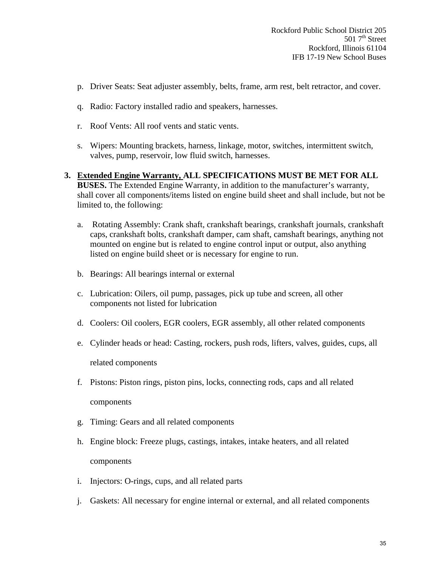- p. Driver Seats: Seat adjuster assembly, belts, frame, arm rest, belt retractor, and cover.
- q. Radio: Factory installed radio and speakers, harnesses.
- r. Roof Vents: All roof vents and static vents.
- s. Wipers: Mounting brackets, harness, linkage, motor, switches, intermittent switch, valves, pump, reservoir, low fluid switch, harnesses.
- **3. Extended Engine Warranty, ALL SPECIFICATIONS MUST BE MET FOR ALL BUSES.** The Extended Engine Warranty, in addition to the manufacturer's warranty, shall cover all components/items listed on engine build sheet and shall include, but not be limited to, the following:
	- a. Rotating Assembly: Crank shaft, crankshaft bearings, crankshaft journals, crankshaft caps, crankshaft bolts, crankshaft damper, cam shaft, camshaft bearings, anything not mounted on engine but is related to engine control input or output, also anything listed on engine build sheet or is necessary for engine to run.
	- b. Bearings: All bearings internal or external
	- c. Lubrication: Oilers, oil pump, passages, pick up tube and screen, all other components not listed for lubrication
	- d. Coolers: Oil coolers, EGR coolers, EGR assembly, all other related components
	- e. Cylinder heads or head: Casting, rockers, push rods, lifters, valves, guides, cups, all related components
	- f. Pistons: Piston rings, piston pins, locks, connecting rods, caps and all related components
	- g. Timing: Gears and all related components
	- h. Engine block: Freeze plugs, castings, intakes, intake heaters, and all related components
	- i. Injectors: O-rings, cups, and all related parts
	- j. Gaskets: All necessary for engine internal or external, and all related components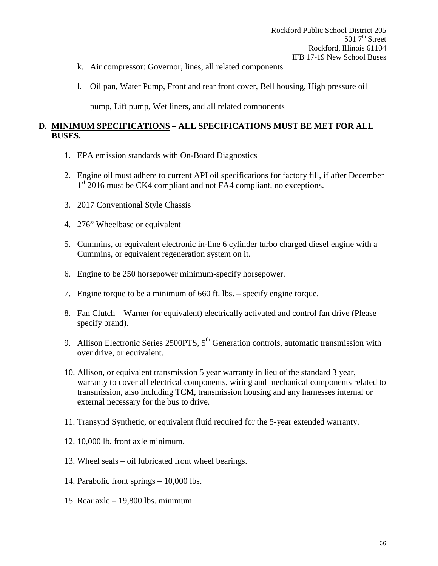- k. Air compressor: Governor, lines, all related components
- l. Oil pan, Water Pump, Front and rear front cover, Bell housing, High pressure oil

pump, Lift pump, Wet liners, and all related components

## **D. MINIMUM SPECIFICATIONS – ALL SPECIFICATIONS MUST BE MET FOR ALL BUSES.**

- 1. EPA emission standards with On-Board Diagnostics
- 2. Engine oil must adhere to current API oil specifications for factory fill, if after December 1<sup>st</sup> 2016 must be CK4 compliant and not FA4 compliant, no exceptions.
- 3. 2017 Conventional Style Chassis
- 4. 276" Wheelbase or equivalent
- 5. Cummins, or equivalent electronic in-line 6 cylinder turbo charged diesel engine with a Cummins, or equivalent regeneration system on it.
- 6. Engine to be 250 horsepower minimum-specify horsepower.
- 7. Engine torque to be a minimum of 660 ft. lbs. specify engine torque.
- 8. Fan Clutch Warner (or equivalent) electrically activated and control fan drive (Please specify brand).
- 9. Allison Electronic Series 2500PTS, 5<sup>th</sup> Generation controls, automatic transmission with over drive, or equivalent.
- 10. Allison, or equivalent transmission 5 year warranty in lieu of the standard 3 year, warranty to cover all electrical components, wiring and mechanical components related to transmission, also including TCM, transmission housing and any harnesses internal or external necessary for the bus to drive.
- 11. Transynd Synthetic, or equivalent fluid required for the 5-year extended warranty.
- 12. 10,000 lb. front axle minimum.
- 13. Wheel seals oil lubricated front wheel bearings.
- 14. Parabolic front springs 10,000 lbs.
- 15. Rear axle 19,800 lbs. minimum.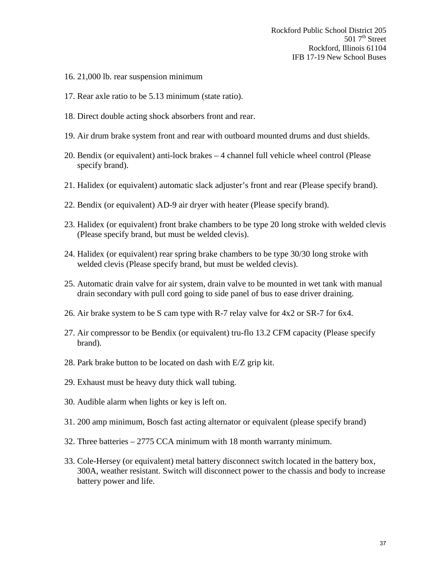- 16. 21,000 lb. rear suspension minimum
- 17. Rear axle ratio to be 5.13 minimum (state ratio).
- 18. Direct double acting shock absorbers front and rear.
- 19. Air drum brake system front and rear with outboard mounted drums and dust shields.
- 20. Bendix (or equivalent) anti-lock brakes 4 channel full vehicle wheel control (Please specify brand).
- 21. Halidex (or equivalent) automatic slack adjuster's front and rear (Please specify brand).
- 22. Bendix (or equivalent) AD-9 air dryer with heater (Please specify brand).
- 23. Halidex (or equivalent) front brake chambers to be type 20 long stroke with welded clevis (Please specify brand, but must be welded clevis).
- 24. Halidex (or equivalent) rear spring brake chambers to be type 30/30 long stroke with welded clevis (Please specify brand, but must be welded clevis).
- 25. Automatic drain valve for air system, drain valve to be mounted in wet tank with manual drain secondary with pull cord going to side panel of bus to ease driver draining.
- 26. Air brake system to be S cam type with R-7 relay valve for 4x2 or SR-7 for 6x4.
- 27. Air compressor to be Bendix (or equivalent) tru-flo 13.2 CFM capacity (Please specify brand).
- 28. Park brake button to be located on dash with E/Z grip kit.
- 29. Exhaust must be heavy duty thick wall tubing.
- 30. Audible alarm when lights or key is left on.
- 31. 200 amp minimum, Bosch fast acting alternator or equivalent (please specify brand)
- 32. Three batteries 2775 CCA minimum with 18 month warranty minimum.
- 33. Cole-Hersey (or equivalent) metal battery disconnect switch located in the battery box, 300A, weather resistant. Switch will disconnect power to the chassis and body to increase battery power and life.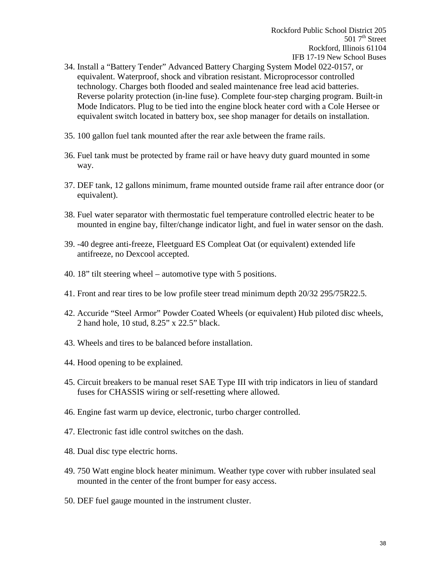- 34. Install a "Battery Tender" Advanced Battery Charging System Model 022-0157, or equivalent. Waterproof, shock and vibration resistant. Microprocessor controlled technology. Charges both flooded and sealed maintenance free lead acid batteries. Reverse polarity protection (in-line fuse). Complete four-step charging program. Built-in Mode Indicators. Plug to be tied into the engine block heater cord with a Cole Hersee or equivalent switch located in battery box, see shop manager for details on installation.
- 35. 100 gallon fuel tank mounted after the rear axle between the frame rails.
- 36. Fuel tank must be protected by frame rail or have heavy duty guard mounted in some way.
- 37. DEF tank, 12 gallons minimum, frame mounted outside frame rail after entrance door (or equivalent).
- 38. Fuel water separator with thermostatic fuel temperature controlled electric heater to be mounted in engine bay, filter/change indicator light, and fuel in water sensor on the dash.
- 39. -40 degree anti-freeze, Fleetguard ES Compleat Oat (or equivalent) extended life antifreeze, no Dexcool accepted.
- 40. 18" tilt steering wheel automotive type with 5 positions.
- 41. Front and rear tires to be low profile steer tread minimum depth 20/32 295/75R22.5.
- 42. Accuride "Steel Armor" Powder Coated Wheels (or equivalent) Hub piloted disc wheels, 2 hand hole, 10 stud, 8.25" x 22.5" black.
- 43. Wheels and tires to be balanced before installation.
- 44. Hood opening to be explained.
- 45. Circuit breakers to be manual reset SAE Type III with trip indicators in lieu of standard fuses for CHASSIS wiring or self-resetting where allowed.
- 46. Engine fast warm up device, electronic, turbo charger controlled.
- 47. Electronic fast idle control switches on the dash.
- 48. Dual disc type electric horns.
- 49. 750 Watt engine block heater minimum. Weather type cover with rubber insulated seal mounted in the center of the front bumper for easy access.
- 50. DEF fuel gauge mounted in the instrument cluster.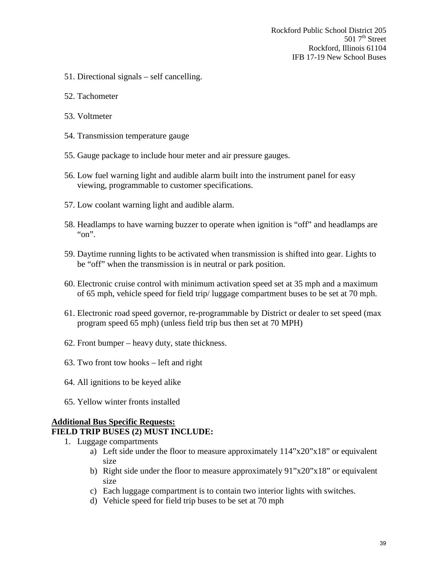- 51. Directional signals self cancelling.
- 52. Tachometer
- 53. Voltmeter
- 54. Transmission temperature gauge
- 55. Gauge package to include hour meter and air pressure gauges.
- 56. Low fuel warning light and audible alarm built into the instrument panel for easy viewing, programmable to customer specifications.
- 57. Low coolant warning light and audible alarm.
- 58. Headlamps to have warning buzzer to operate when ignition is "off" and headlamps are "on".
- 59. Daytime running lights to be activated when transmission is shifted into gear. Lights to be "off" when the transmission is in neutral or park position.
- 60. Electronic cruise control with minimum activation speed set at 35 mph and a maximum of 65 mph, vehicle speed for field trip/ luggage compartment buses to be set at 70 mph.
- 61. Electronic road speed governor, re-programmable by District or dealer to set speed (max program speed 65 mph) (unless field trip bus then set at 70 MPH)
- 62. Front bumper heavy duty, state thickness.
- 63. Two front tow hooks left and right
- 64. All ignitions to be keyed alike
- 65. Yellow winter fronts installed

# **Additional Bus Specific Requests:**

### **FIELD TRIP BUSES (2) MUST INCLUDE:**

- 1. Luggage compartments
	- a) Left side under the floor to measure approximately 114"x20"x18" or equivalent size
	- b) Right side under the floor to measure approximately 91"x20"x18" or equivalent size
	- c) Each luggage compartment is to contain two interior lights with switches.
	- d) Vehicle speed for field trip buses to be set at 70 mph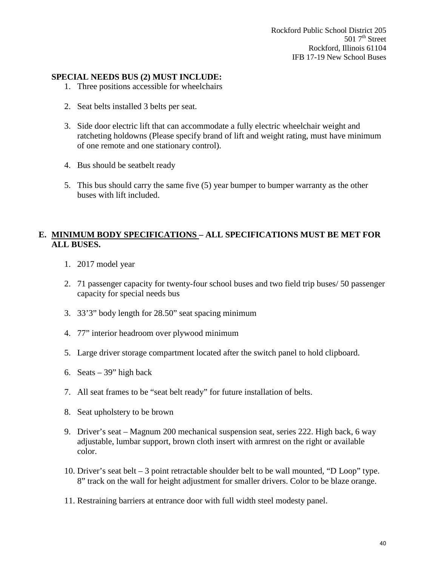Rockford Public School District 205  $5017<sup>th</sup> Street$ Rockford, Illinois 61104 IFB 17-19 New School Buses

## **SPECIAL NEEDS BUS (2) MUST INCLUDE:**

- 1. Three positions accessible for wheelchairs
- 2. Seat belts installed 3 belts per seat.
- 3. Side door electric lift that can accommodate a fully electric wheelchair weight and ratcheting holdowns (Please specify brand of lift and weight rating, must have minimum of one remote and one stationary control).
- 4. Bus should be seatbelt ready
- 5. This bus should carry the same five (5) year bumper to bumper warranty as the other buses with lift included.

## **E. MINIMUM BODY SPECIFICATIONS – ALL SPECIFICATIONS MUST BE MET FOR ALL BUSES.**

- 1. 2017 model year
- 2. 71 passenger capacity for twenty-four school buses and two field trip buses/ 50 passenger capacity for special needs bus
- 3. 33'3" body length for 28.50" seat spacing minimum
- 4. 77" interior headroom over plywood minimum
- 5. Large driver storage compartment located after the switch panel to hold clipboard.
- 6. Seats  $-39$ " high back
- 7. All seat frames to be "seat belt ready" for future installation of belts.
- 8. Seat upholstery to be brown
- 9. Driver's seat Magnum 200 mechanical suspension seat, series 222. High back, 6 way adjustable, lumbar support, brown cloth insert with armrest on the right or available color.
- 10. Driver's seat belt 3 point retractable shoulder belt to be wall mounted, "D Loop" type. 8" track on the wall for height adjustment for smaller drivers. Color to be blaze orange.
- 11. Restraining barriers at entrance door with full width steel modesty panel.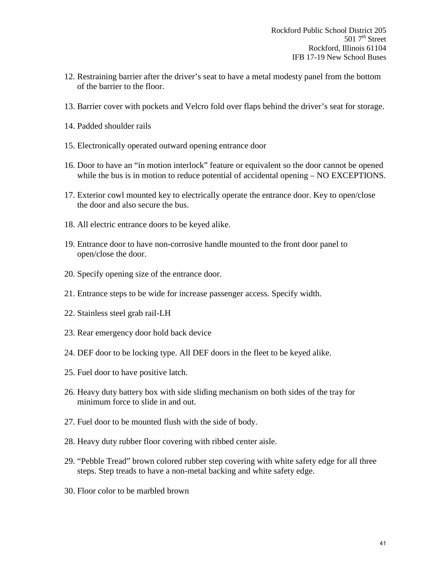- 12. Restraining barrier after the driver's seat to have a metal modesty panel from the bottom of the barrier to the floor.
- 13. Barrier cover with pockets and Velcro fold over flaps behind the driver's seat for storage.
- 14. Padded shoulder rails
- 15. Electronically operated outward opening entrance door
- 16. Door to have an "in motion interlock" feature or equivalent so the door cannot be opened while the bus is in motion to reduce potential of accidental opening – NO EXCEPTIONS.
- 17. Exterior cowl mounted key to electrically operate the entrance door. Key to open/close the door and also secure the bus.
- 18. All electric entrance doors to be keyed alike.
- 19. Entrance door to have non-corrosive handle mounted to the front door panel to open/close the door.
- 20. Specify opening size of the entrance door.
- 21. Entrance steps to be wide for increase passenger access. Specify width.
- 22. Stainless steel grab rail-LH
- 23. Rear emergency door hold back device
- 24. DEF door to be locking type. All DEF doors in the fleet to be keyed alike.
- 25. Fuel door to have positive latch.
- 26. Heavy duty battery box with side sliding mechanism on both sides of the tray for minimum force to slide in and out.
- 27. Fuel door to be mounted flush with the side of body.
- 28. Heavy duty rubber floor covering with ribbed center aisle.
- 29. "Pebble Tread" brown colored rubber step covering with white safety edge for all three steps. Step treads to have a non-metal backing and white safety edge.
- 30. Floor color to be marbled brown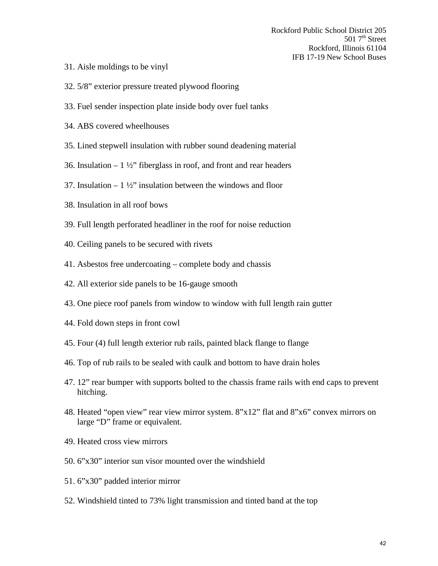- 31. Aisle moldings to be vinyl
- 32. 5/8" exterior pressure treated plywood flooring
- 33. Fuel sender inspection plate inside body over fuel tanks
- 34. ABS covered wheelhouses
- 35. Lined stepwell insulation with rubber sound deadening material
- 36. Insulation  $-1\frac{1}{2}$  fiberglass in roof, and front and rear headers
- 37. Insulation  $-1\frac{1}{2}$  insulation between the windows and floor
- 38. Insulation in all roof bows
- 39. Full length perforated headliner in the roof for noise reduction
- 40. Ceiling panels to be secured with rivets
- 41. Asbestos free undercoating complete body and chassis
- 42. All exterior side panels to be 16-gauge smooth
- 43. One piece roof panels from window to window with full length rain gutter
- 44. Fold down steps in front cowl
- 45. Four (4) full length exterior rub rails, painted black flange to flange
- 46. Top of rub rails to be sealed with caulk and bottom to have drain holes
- 47. 12" rear bumper with supports bolted to the chassis frame rails with end caps to prevent hitching.
- 48. Heated "open view" rear view mirror system. 8"x12" flat and 8"x6" convex mirrors on large "D" frame or equivalent.
- 49. Heated cross view mirrors
- 50. 6"x30" interior sun visor mounted over the windshield
- 51. 6"x30" padded interior mirror
- 52. Windshield tinted to 73% light transmission and tinted band at the top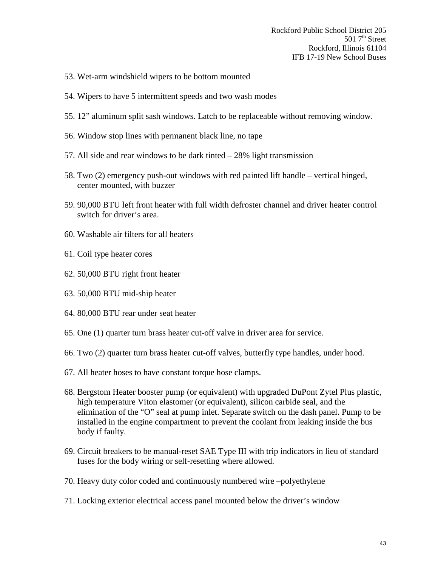Rockford Public School District 205 501  $7<sup>th</sup>$  Street Rockford, Illinois 61104 IFB 17-19 New School Buses

- 53. Wet-arm windshield wipers to be bottom mounted
- 54. Wipers to have 5 intermittent speeds and two wash modes
- 55. 12" aluminum split sash windows. Latch to be replaceable without removing window.
- 56. Window stop lines with permanent black line, no tape
- 57. All side and rear windows to be dark tinted 28% light transmission
- 58. Two (2) emergency push-out windows with red painted lift handle vertical hinged, center mounted, with buzzer
- 59. 90,000 BTU left front heater with full width defroster channel and driver heater control switch for driver's area.
- 60. Washable air filters for all heaters
- 61. Coil type heater cores
- 62. 50,000 BTU right front heater
- 63. 50,000 BTU mid-ship heater
- 64. 80,000 BTU rear under seat heater
- 65. One (1) quarter turn brass heater cut-off valve in driver area for service.
- 66. Two (2) quarter turn brass heater cut-off valves, butterfly type handles, under hood.
- 67. All heater hoses to have constant torque hose clamps.
- 68. Bergstom Heater booster pump (or equivalent) with upgraded DuPont Zytel Plus plastic, high temperature Viton elastomer (or equivalent), silicon carbide seal, and the elimination of the "O" seal at pump inlet. Separate switch on the dash panel. Pump to be installed in the engine compartment to prevent the coolant from leaking inside the bus body if faulty.
- 69. Circuit breakers to be manual-reset SAE Type III with trip indicators in lieu of standard fuses for the body wiring or self-resetting where allowed.
- 70. Heavy duty color coded and continuously numbered wire –polyethylene
- 71. Locking exterior electrical access panel mounted below the driver's window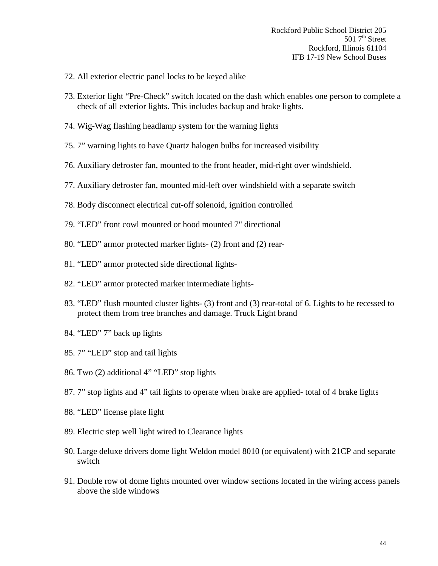- 72. All exterior electric panel locks to be keyed alike
- 73. Exterior light "Pre-Check" switch located on the dash which enables one person to complete a check of all exterior lights. This includes backup and brake lights.
- 74. Wig-Wag flashing headlamp system for the warning lights
- 75. 7" warning lights to have Quartz halogen bulbs for increased visibility
- 76. Auxiliary defroster fan, mounted to the front header, mid-right over windshield.
- 77. Auxiliary defroster fan, mounted mid-left over windshield with a separate switch
- 78. Body disconnect electrical cut-off solenoid, ignition controlled
- 79. "LED" front cowl mounted or hood mounted 7" directional
- 80. "LED" armor protected marker lights- (2) front and (2) rear-
- 81. "LED" armor protected side directional lights-
- 82. "LED" armor protected marker intermediate lights-
- 83. "LED" flush mounted cluster lights- (3) front and (3) rear-total of 6. Lights to be recessed to protect them from tree branches and damage. Truck Light brand
- 84. "LED" 7" back up lights
- 85. 7" "LED" stop and tail lights
- 86. Two (2) additional 4" "LED" stop lights
- 87. 7" stop lights and 4" tail lights to operate when brake are applied- total of 4 brake lights
- 88. "LED" license plate light
- 89. Electric step well light wired to Clearance lights
- 90. Large deluxe drivers dome light Weldon model 8010 (or equivalent) with 21CP and separate switch
- 91. Double row of dome lights mounted over window sections located in the wiring access panels above the side windows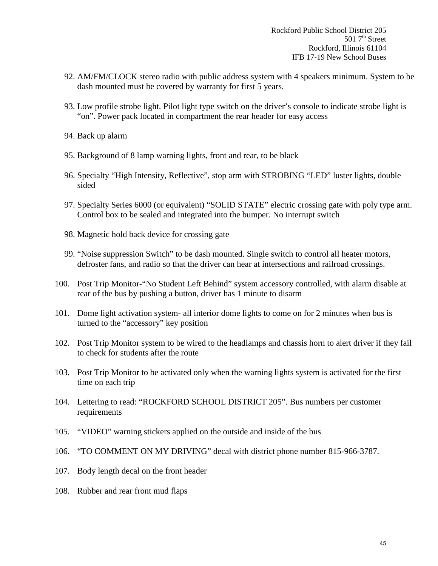- 92. AM/FM/CLOCK stereo radio with public address system with 4 speakers minimum. System to be dash mounted must be covered by warranty for first 5 years.
- 93. Low profile strobe light. Pilot light type switch on the driver's console to indicate strobe light is "on". Power pack located in compartment the rear header for easy access
- 94. Back up alarm
- 95. Background of 8 lamp warning lights, front and rear, to be black
- 96. Specialty "High Intensity, Reflective", stop arm with STROBING "LED" luster lights, double sided
- 97. Specialty Series 6000 (or equivalent) "SOLID STATE" electric crossing gate with poly type arm. Control box to be sealed and integrated into the bumper. No interrupt switch
- 98. Magnetic hold back device for crossing gate
- 99. "Noise suppression Switch" to be dash mounted. Single switch to control all heater motors, defroster fans, and radio so that the driver can hear at intersections and railroad crossings.
- 100. Post Trip Monitor-"No Student Left Behind" system accessory controlled, with alarm disable at rear of the bus by pushing a button, driver has 1 minute to disarm
- 101. Dome light activation system- all interior dome lights to come on for 2 minutes when bus is turned to the "accessory" key position
- 102. Post Trip Monitor system to be wired to the headlamps and chassis horn to alert driver if they fail to check for students after the route
- 103. Post Trip Monitor to be activated only when the warning lights system is activated for the first time on each trip
- 104. Lettering to read: "ROCKFORD SCHOOL DISTRICT 205". Bus numbers per customer requirements
- 105. "VIDEO" warning stickers applied on the outside and inside of the bus
- 106. "TO COMMENT ON MY DRIVING" decal with district phone number 815-966-3787.
- 107. Body length decal on the front header
- 108. Rubber and rear front mud flaps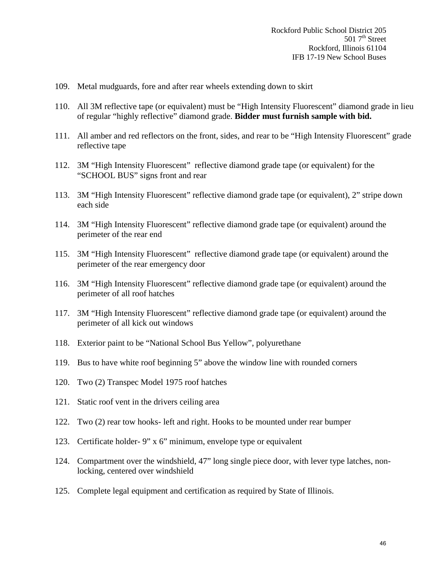- 109. Metal mudguards, fore and after rear wheels extending down to skirt
- 110. All 3M reflective tape (or equivalent) must be "High Intensity Fluorescent" diamond grade in lieu of regular "highly reflective" diamond grade. **Bidder must furnish sample with bid.**
- 111. All amber and red reflectors on the front, sides, and rear to be "High Intensity Fluorescent" grade reflective tape
- 112. 3M "High Intensity Fluorescent" reflective diamond grade tape (or equivalent) for the "SCHOOL BUS" signs front and rear
- 113. 3M "High Intensity Fluorescent" reflective diamond grade tape (or equivalent), 2" stripe down each side
- 114. 3M "High Intensity Fluorescent" reflective diamond grade tape (or equivalent) around the perimeter of the rear end
- 115. 3M "High Intensity Fluorescent" reflective diamond grade tape (or equivalent) around the perimeter of the rear emergency door
- 116. 3M "High Intensity Fluorescent" reflective diamond grade tape (or equivalent) around the perimeter of all roof hatches
- 117. 3M "High Intensity Fluorescent" reflective diamond grade tape (or equivalent) around the perimeter of all kick out windows
- 118. Exterior paint to be "National School Bus Yellow", polyurethane
- 119. Bus to have white roof beginning 5" above the window line with rounded corners
- 120. Two (2) Transpec Model 1975 roof hatches
- 121. Static roof vent in the drivers ceiling area
- 122. Two (2) rear tow hooks- left and right. Hooks to be mounted under rear bumper
- 123. Certificate holder- 9" x 6" minimum, envelope type or equivalent
- 124. Compartment over the windshield, 47" long single piece door, with lever type latches, nonlocking, centered over windshield
- 125. Complete legal equipment and certification as required by State of Illinois.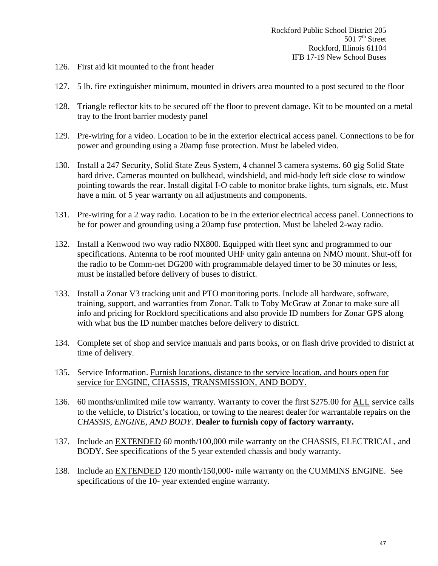- 126. First aid kit mounted to the front header
- 127. 5 lb. fire extinguisher minimum, mounted in drivers area mounted to a post secured to the floor
- 128. Triangle reflector kits to be secured off the floor to prevent damage. Kit to be mounted on a metal tray to the front barrier modesty panel
- 129. Pre-wiring for a video. Location to be in the exterior electrical access panel. Connections to be for power and grounding using a 20amp fuse protection. Must be labeled video.
- 130. Install a 247 Security, Solid State Zeus System, 4 channel 3 camera systems. 60 gig Solid State hard drive. Cameras mounted on bulkhead, windshield, and mid-body left side close to window pointing towards the rear. Install digital I-O cable to monitor brake lights, turn signals, etc. Must have a min. of 5 year warranty on all adjustments and components.
- 131. Pre-wiring for a 2 way radio. Location to be in the exterior electrical access panel. Connections to be for power and grounding using a 20amp fuse protection. Must be labeled 2-way radio.
- 132. Install a Kenwood two way radio NX800. Equipped with fleet sync and programmed to our specifications. Antenna to be roof mounted UHF unity gain antenna on NMO mount. Shut-off for the radio to be Comm-net DG200 with programmable delayed timer to be 30 minutes or less, must be installed before delivery of buses to district.
- 133. Install a Zonar V3 tracking unit and PTO monitoring ports. Include all hardware, software, training, support, and warranties from Zonar. Talk to Toby McGraw at Zonar to make sure all info and pricing for Rockford specifications and also provide ID numbers for Zonar GPS along with what bus the ID number matches before delivery to district.
- 134. Complete set of shop and service manuals and parts books, or on flash drive provided to district at time of delivery.
- 135. Service Information. Furnish locations, distance to the service location, and hours open for service for ENGINE, CHASSIS, TRANSMISSION, AND BODY.
- 136. 60 months/unlimited mile tow warranty. Warranty to cover the first \$275.00 for ALL service calls to the vehicle, to District's location, or towing to the nearest dealer for warrantable repairs on the *CHASSIS, ENGINE, AND BODY*. **Dealer to furnish copy of factory warranty.**
- 137. Include an EXTENDED 60 month/100,000 mile warranty on the CHASSIS, ELECTRICAL, and BODY. See specifications of the 5 year extended chassis and body warranty.
- 138. Include an EXTENDED 120 month/150,000- mile warranty on the CUMMINS ENGINE. See specifications of the 10- year extended engine warranty.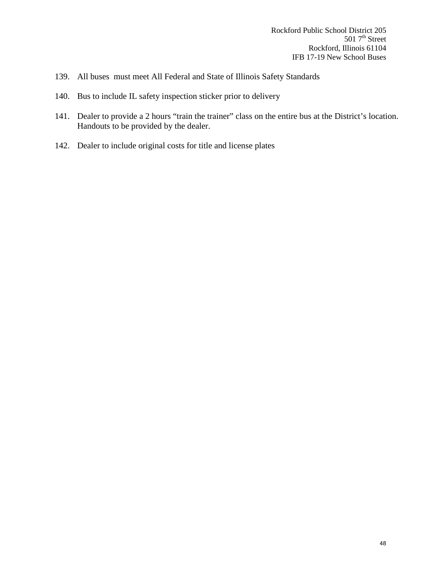- 139. All buses must meet All Federal and State of Illinois Safety Standards
- 140. Bus to include IL safety inspection sticker prior to delivery
- 141. Dealer to provide a 2 hours "train the trainer" class on the entire bus at the District's location. Handouts to be provided by the dealer.
- 142. Dealer to include original costs for title and license plates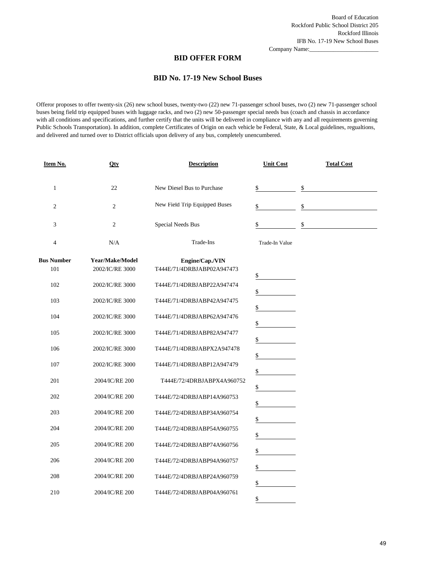Company Name:

#### **BID OFFER FORM**

#### **BID No. 17-19 New School Buses**

Offeror proposes to offer twenty-six (26) new school buses, twenty-two (22) new 71-passenger school buses, two (2) new 71-passenger school buses being field trip equipped buses with luggage racks, and two (2) new 50-passenger special needs bus (coach and chassis in accordance with all conditions and specifications, and further certify that the units will be delivered in compliance with any and all requirements governing Public Schools Transportation). In addition, complete Certificates of Origin on each vehicle be Federal, State, & Local guidelines, regualtions, and delivered and turned over to District officials upon delivery of any bus, completely unencumbered.

| Item No.                 | Qty                                | <b>Description</b>                            | <b>Unit Cost</b> | <b>Total Cost</b> |
|--------------------------|------------------------------------|-----------------------------------------------|------------------|-------------------|
| $\mathbf{1}$             | 22                                 | New Diesel Bus to Purchase                    | \$               | \$                |
| $\overline{c}$           | $\overline{2}$                     | New Field Trip Equipped Buses                 | \$               | \$                |
| 3                        | $\overline{2}$                     | Special Needs Bus                             | \$               | \$                |
| 4                        | N/A                                | Trade-Ins                                     | Trade-In Value   |                   |
| <b>Bus Number</b><br>101 | Year/Make/Model<br>2002/IC/RE 3000 | Engine/Cap./VIN<br>T444E/71/4DRBJABP02A947473 | \$               |                   |
| 102                      | 2002/IC/RE 3000                    | T444E/71/4DRBJABP22A947474                    | \$               |                   |
| 103                      | 2002/IC/RE 3000                    | T444E/71/4DRBJABP42A947475                    | \$               |                   |
| 104                      | 2002/IC/RE 3000                    | T444E/71/4DRBJABP62A947476                    | \$               |                   |
| 105                      | 2002/IC/RE 3000                    | T444E/71/4DRBJABP82A947477                    | \$               |                   |
| 106                      | 2002/IC/RE 3000                    | T444E/71/4DRBJABPX2A947478                    | \$               |                   |
| 107                      | 2002/IC/RE 3000                    | T444E/71/4DRBJABP12A947479                    | \$               |                   |
| 201                      | 2004/IC/RE 200                     | T444E/72/4DRBJABPX4A960752                    | \$               |                   |
| 202                      | 2004/IC/RE 200                     | T444E/72/4DRBJABP14A960753                    | \$               |                   |
| 203                      | 2004/IC/RE 200                     | T444E/72/4DRBJABP34A960754                    | \$               |                   |
| 204                      | 2004/IC/RE 200                     | T444E/72/4DRBJABP54A960755                    | \$               |                   |
| 205                      | 2004/IC/RE 200                     | T444E/72/4DRBJABP74A960756                    | \$               |                   |
| 206                      | 2004/IC/RE 200                     | T444E/72/4DRBJABP94A960757                    | \$               |                   |
| 208                      | 2004/IC/RE 200                     | T444E/72/4DRBJABP24A960759                    | \$               |                   |
| 210                      | 2004/IC/RE 200                     | T444E/72/4DRBJABP04A960761                    | \$               |                   |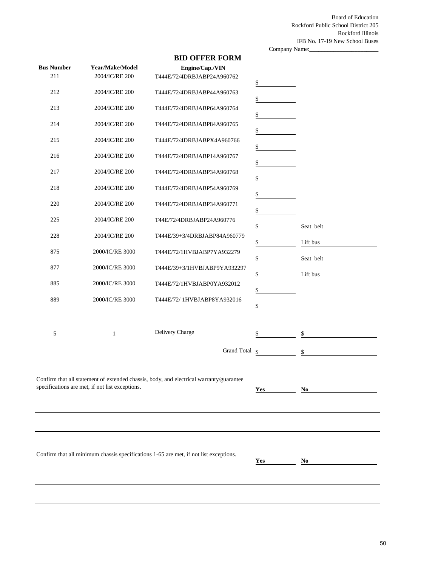Board of Education Rockford Public School District 205 Rockford Illinois IFB No. 17-19 New School Buses

|                   |                                                 |                                                                                         | Company Name: |           |  |
|-------------------|-------------------------------------------------|-----------------------------------------------------------------------------------------|---------------|-----------|--|
| <b>Bus Number</b> | Year/Make/Model                                 | <b>BID OFFER FORM</b><br>Engine/Cap./VIN                                                |               |           |  |
| 211               | 2004/IC/RE 200                                  | T444E/72/4DRBJABP24A960762                                                              | \$            |           |  |
| 212               | 2004/IC/RE 200                                  | T444E/72/4DRBJABP44A960763                                                              | \$            |           |  |
| 213               | 2004/IC/RE 200                                  | T444E/72/4DRBJABP64A960764                                                              | \$            |           |  |
| 214               | 2004/IC/RE 200                                  | T444E/72/4DRBJABP84A960765                                                              | \$            |           |  |
| 215               | 2004/IC/RE 200                                  | T444E/72/4DRBJABPX4A960766                                                              | \$            |           |  |
| 216               | 2004/IC/RE 200                                  | T444E/72/4DRBJABP14A960767                                                              | \$            |           |  |
| 217               | 2004/IC/RE 200                                  | T444E/72/4DRBJABP34A960768                                                              | \$            |           |  |
| 218               | 2004/IC/RE 200                                  | T444E/72/4DRBJABP54A960769                                                              | \$            |           |  |
| 220               | 2004/IC/RE 200                                  | T444E/72/4DRBJABP34A960771                                                              | \$            |           |  |
| 225               | 2004/IC/RE 200                                  | T44E/72/4DRBJABP24A960776<br>T444E/39+3/4DRBJABP84A960779                               | \$            | Seat belt |  |
| 228<br>875        | 2004/IC/RE 200<br>2000/IC/RE 3000               | T444E/72/1HVBJABP7YA932279                                                              | \$            | Lift bus  |  |
| 877               | 2000/IC/RE 3000                                 | T444E/39+3/1HVBJABP9YA932297                                                            | \$            | Seat belt |  |
| 885               | 2000/IC/RE 3000                                 | T444E/72/1HVBJABP0YA932012                                                              | \$            | Lift bus  |  |
| 889               | 2000/IC/RE 3000                                 | T444E/72/ 1HVBJABP8YA932016                                                             | \$            |           |  |
|                   |                                                 |                                                                                         | \$            |           |  |
| 5                 | $\mathbf{1}$                                    | Delivery Charge                                                                         | \$            | \$        |  |
|                   |                                                 | Grand Total §                                                                           |               | \$        |  |
|                   | specifications are met, if not list exceptions. | Confirm that all statement of extended chassis, body, and electrical warranty/guarantee | Yes           | No        |  |
|                   |                                                 |                                                                                         |               |           |  |
|                   |                                                 |                                                                                         |               |           |  |
|                   |                                                 | Confirm that all minimum chassis specifications 1-65 are met, if not list exceptions.   | Yes           | No        |  |
|                   |                                                 |                                                                                         |               |           |  |
|                   |                                                 |                                                                                         |               |           |  |